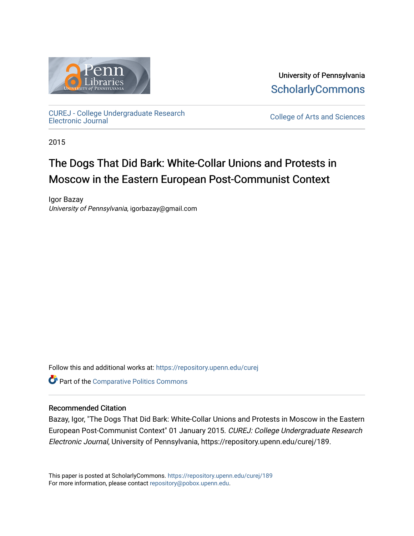

University of Pennsylvania **ScholarlyCommons** 

[CUREJ - College Undergraduate Research](https://repository.upenn.edu/curej) 

College of Arts and Sciences

2015

## The Dogs That Did Bark: White-Collar Unions and Protests in Moscow in the Eastern European Post-Communist Context

Igor Bazay University of Pennsylvania, igorbazay@gmail.com

Follow this and additional works at: [https://repository.upenn.edu/curej](https://repository.upenn.edu/curej?utm_source=repository.upenn.edu%2Fcurej%2F189&utm_medium=PDF&utm_campaign=PDFCoverPages)

Part of the [Comparative Politics Commons](http://network.bepress.com/hgg/discipline/388?utm_source=repository.upenn.edu%2Fcurej%2F189&utm_medium=PDF&utm_campaign=PDFCoverPages) 

### Recommended Citation

Bazay, Igor, "The Dogs That Did Bark: White-Collar Unions and Protests in Moscow in the Eastern European Post-Communist Context" 01 January 2015. CUREJ: College Undergraduate Research Electronic Journal, University of Pennsylvania, https://repository.upenn.edu/curej/189.

This paper is posted at ScholarlyCommons.<https://repository.upenn.edu/curej/189> For more information, please contact [repository@pobox.upenn.edu.](mailto:repository@pobox.upenn.edu)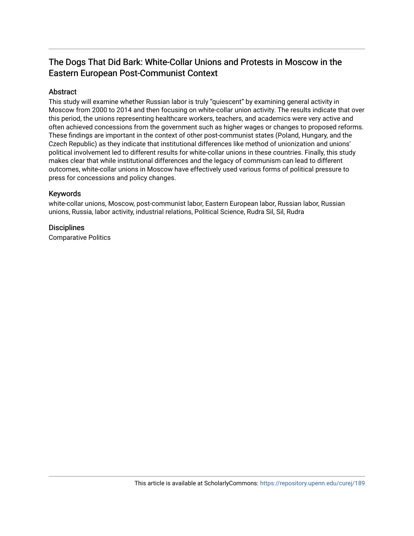### The Dogs That Did Bark: White-Collar Unions and Protests in Moscow in the Eastern European Post-Communist Context

### Abstract

This study will examine whether Russian labor is truly "quiescent" by examining general activity in Moscow from 2000 to 2014 and then focusing on white-collar union activity. The results indicate that over this period, the unions representing healthcare workers, teachers, and academics were very active and often achieved concessions from the government such as higher wages or changes to proposed reforms. These findings are important in the context of other post-communist states (Poland, Hungary, and the Czech Republic) as they indicate that institutional differences like method of unionization and unions' political involvement led to different results for white-collar unions in these countries. Finally, this study makes clear that while institutional differences and the legacy of communism can lead to different outcomes, white-collar unions in Moscow have effectively used various forms of political pressure to press for concessions and policy changes.

### Keywords

white-collar unions, Moscow, post-communist labor, Eastern European labor, Russian labor, Russian unions, Russia, labor activity, industrial relations, Political Science, Rudra Sil, Sil, Rudra

### **Disciplines**

Comparative Politics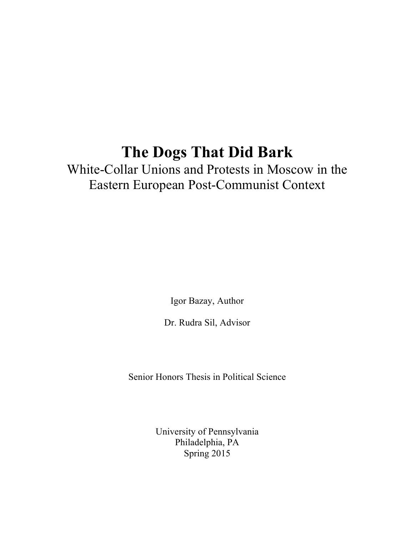# **The Dogs That Did Bark**

White-Collar Unions and Protests in Moscow in the Eastern European Post-Communist Context

Igor Bazay, Author

Dr. Rudra Sil, Advisor

Senior Honors Thesis in Political Science

University of Pennsylvania Philadelphia, PA Spring 2015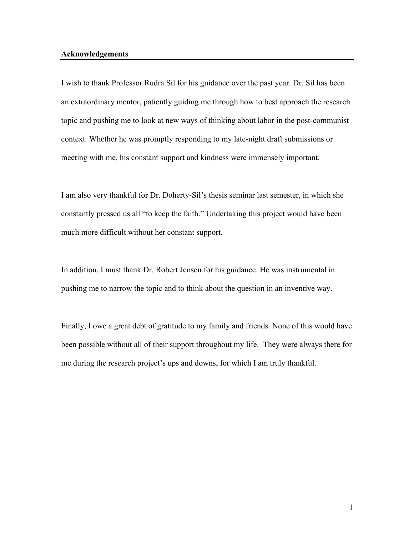### **Acknowledgements**

I wish to thank Professor Rudra Sil for his guidance over the past year. Dr. Sil has been an extraordinary mentor, patiently guiding me through how to best approach the research topic and pushing me to look at new ways of thinking about labor in the post-communist context. Whether he was promptly responding to my late-night draft submissions or meeting with me, his constant support and kindness were immensely important.

I am also very thankful for Dr. Doherty-Sil's thesis seminar last semester, in which she constantly pressed us all "to keep the faith." Undertaking this project would have been much more difficult without her constant support.

In addition, I must thank Dr. Robert Jensen for his guidance. He was instrumental in pushing me to narrow the topic and to think about the question in an inventive way.

Finally, I owe a great debt of gratitude to my family and friends. None of this would have been possible without all of their support throughout my life. They were always there for me during the research project's ups and downs, for which I am truly thankful.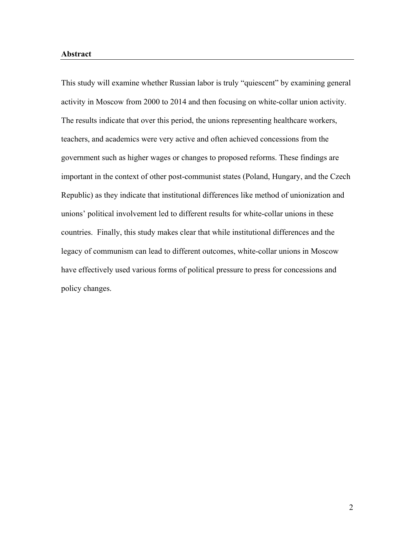#### **Abstract**

This study will examine whether Russian labor is truly "quiescent" by examining general activity in Moscow from 2000 to 2014 and then focusing on white-collar union activity. The results indicate that over this period, the unions representing healthcare workers, teachers, and academics were very active and often achieved concessions from the government such as higher wages or changes to proposed reforms. These findings are important in the context of other post-communist states (Poland, Hungary, and the Czech Republic) as they indicate that institutional differences like method of unionization and unions' political involvement led to different results for white-collar unions in these countries. Finally, this study makes clear that while institutional differences and the legacy of communism can lead to different outcomes, white-collar unions in Moscow have effectively used various forms of political pressure to press for concessions and policy changes.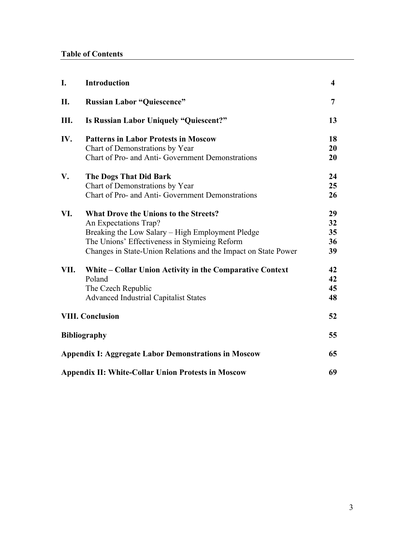| I.                                                          | Introduction                                                   | $\overline{\mathbf{4}}$ |
|-------------------------------------------------------------|----------------------------------------------------------------|-------------------------|
| II.                                                         | <b>Russian Labor "Quiescence"</b>                              | $\overline{7}$          |
| Ш.                                                          | <b>Is Russian Labor Uniquely "Quiescent?"</b>                  | 13                      |
| IV.                                                         | <b>Patterns in Labor Protests in Moscow</b>                    | 18                      |
|                                                             | Chart of Demonstrations by Year                                | 20                      |
|                                                             | Chart of Pro- and Anti- Government Demonstrations              | 20                      |
| V.                                                          | <b>The Dogs That Did Bark</b>                                  | 24                      |
|                                                             | Chart of Demonstrations by Year                                | 25                      |
|                                                             | Chart of Pro- and Anti- Government Demonstrations              | 26                      |
| VI.                                                         | <b>What Drove the Unions to the Streets?</b>                   | 29                      |
|                                                             | An Expectations Trap?                                          | 32                      |
|                                                             | Breaking the Low Salary - High Employment Pledge               | 35                      |
|                                                             | The Unions' Effectiveness in Stymieing Reform                  | 36                      |
|                                                             | Changes in State-Union Relations and the Impact on State Power | 39                      |
| VII.                                                        | White – Collar Union Activity in the Comparative Context       | 42                      |
|                                                             | Poland                                                         | 42                      |
|                                                             | The Czech Republic                                             | 45                      |
|                                                             | <b>Advanced Industrial Capitalist States</b>                   | 48                      |
| <b>VIII. Conclusion</b>                                     |                                                                | 52                      |
| <b>Bibliography</b>                                         |                                                                | 55                      |
| <b>Appendix I: Aggregate Labor Demonstrations in Moscow</b> |                                                                | 65                      |
| <b>Appendix II: White-Collar Union Protests in Moscow</b>   |                                                                | 69                      |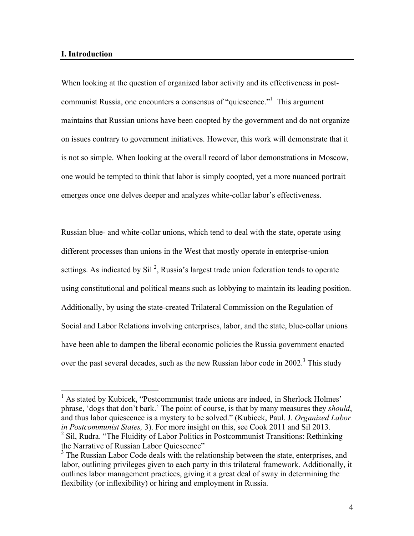### **I. Introduction**

When looking at the question of organized labor activity and its effectiveness in postcommunist Russia, one encounters a consensus of "quiescence."1 This argument maintains that Russian unions have been coopted by the government and do not organize on issues contrary to government initiatives. However, this work will demonstrate that it is not so simple. When looking at the overall record of labor demonstrations in Moscow, one would be tempted to think that labor is simply coopted, yet a more nuanced portrait emerges once one delves deeper and analyzes white-collar labor's effectiveness.

Russian blue- and white-collar unions, which tend to deal with the state, operate using different processes than unions in the West that mostly operate in enterprise-union settings. As indicated by Sil<sup>2</sup>, Russia's largest trade union federation tends to operate using constitutional and political means such as lobbying to maintain its leading position. Additionally, by using the state-created Trilateral Commission on the Regulation of Social and Labor Relations involving enterprises, labor, and the state, blue-collar unions have been able to dampen the liberal economic policies the Russia government enacted over the past several decades, such as the new Russian labor code in 2002.<sup>3</sup> This study

<sup>&</sup>lt;sup>1</sup> As stated by Kubicek, "Postcommunist trade unions are indeed, in Sherlock Holmes' phrase, 'dogs that don't bark.' The point of course, is that by many measures they *should*, and thus labor quiescence is a mystery to be solved." (Kubicek, Paul. J. *Organized Labor in Postcommunist States,* 3). For more insight on this, see Cook 2011 and Sil 2013.

<sup>&</sup>lt;sup>2</sup> Sil, Rudra. "The Fluidity of Labor Politics in Postcommunist Transitions: Rethinking the Narrative of Russian Labor Quiescence"

 $3$  The Russian Labor Code deals with the relationship between the state, enterprises, and labor, outlining privileges given to each party in this trilateral framework. Additionally, it outlines labor management practices, giving it a great deal of sway in determining the flexibility (or inflexibility) or hiring and employment in Russia.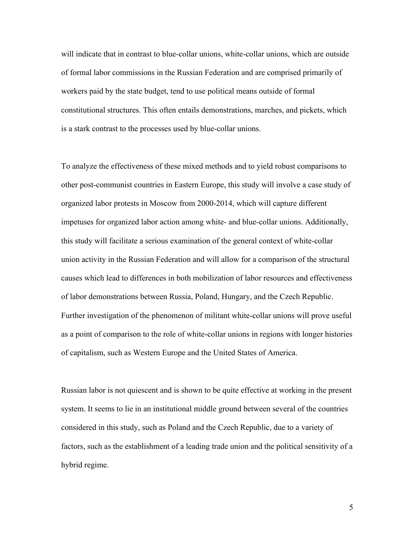will indicate that in contrast to blue-collar unions, white-collar unions, which are outside of formal labor commissions in the Russian Federation and are comprised primarily of workers paid by the state budget, tend to use political means outside of formal constitutional structures. This often entails demonstrations, marches, and pickets, which is a stark contrast to the processes used by blue-collar unions.

To analyze the effectiveness of these mixed methods and to yield robust comparisons to other post-communist countries in Eastern Europe, this study will involve a case study of organized labor protests in Moscow from 2000-2014, which will capture different impetuses for organized labor action among white- and blue-collar unions. Additionally, this study will facilitate a serious examination of the general context of white-collar union activity in the Russian Federation and will allow for a comparison of the structural causes which lead to differences in both mobilization of labor resources and effectiveness of labor demonstrations between Russia, Poland, Hungary, and the Czech Republic. Further investigation of the phenomenon of militant white-collar unions will prove useful as a point of comparison to the role of white-collar unions in regions with longer histories of capitalism, such as Western Europe and the United States of America.

Russian labor is not quiescent and is shown to be quite effective at working in the present system. It seems to lie in an institutional middle ground between several of the countries considered in this study, such as Poland and the Czech Republic, due to a variety of factors, such as the establishment of a leading trade union and the political sensitivity of a hybrid regime.

5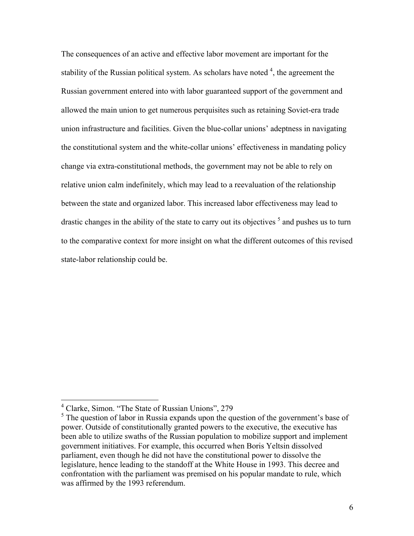The consequences of an active and effective labor movement are important for the stability of the Russian political system. As scholars have noted  $4$ , the agreement the Russian government entered into with labor guaranteed support of the government and allowed the main union to get numerous perquisites such as retaining Soviet-era trade union infrastructure and facilities. Given the blue-collar unions' adeptness in navigating the constitutional system and the white-collar unions' effectiveness in mandating policy change via extra-constitutional methods, the government may not be able to rely on relative union calm indefinitely, which may lead to a reevaluation of the relationship between the state and organized labor. This increased labor effectiveness may lead to drastic changes in the ability of the state to carry out its objectives  $\frac{1}{2}$  and pushes us to turn to the comparative context for more insight on what the different outcomes of this revised state-labor relationship could be.

 <sup>4</sup> Clarke, Simon. "The State of Russian Unions", 279

 $<sup>5</sup>$  The question of labor in Russia expands upon the question of the government's base of</sup> power. Outside of constitutionally granted powers to the executive, the executive has been able to utilize swaths of the Russian population to mobilize support and implement government initiatives. For example, this occurred when Boris Yeltsin dissolved parliament, even though he did not have the constitutional power to dissolve the legislature, hence leading to the standoff at the White House in 1993. This decree and confrontation with the parliament was premised on his popular mandate to rule, which was affirmed by the 1993 referendum.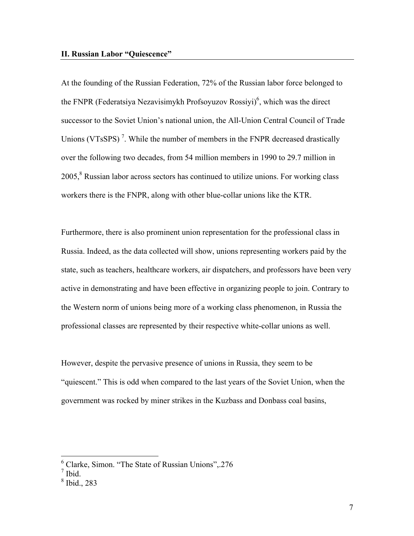At the founding of the Russian Federation, 72% of the Russian labor force belonged to the FNPR (Federatsiya Nezavisimykh Profsoyuzov Rossiyi)<sup>6</sup>, which was the direct successor to the Soviet Union's national union, the All-Union Central Council of Trade Unions (VTsSPS)<sup>7</sup>. While the number of members in the FNPR decreased drastically over the following two decades, from 54 million members in 1990 to 29.7 million in  $2005$ , <sup>8</sup> Russian labor across sectors has continued to utilize unions. For working class workers there is the FNPR, along with other blue-collar unions like the KTR.

Furthermore, there is also prominent union representation for the professional class in Russia. Indeed, as the data collected will show, unions representing workers paid by the state, such as teachers, healthcare workers, air dispatchers, and professors have been very active in demonstrating and have been effective in organizing people to join. Contrary to the Western norm of unions being more of a working class phenomenon, in Russia the professional classes are represented by their respective white-collar unions as well.

However, despite the pervasive presence of unions in Russia, they seem to be "quiescent." This is odd when compared to the last years of the Soviet Union, when the government was rocked by miner strikes in the Kuzbass and Donbass coal basins,

 <sup>6</sup> Clarke, Simon. "The State of Russian Unions",.276

<sup>7</sup> Ibid.

<sup>8</sup> Ibid., 283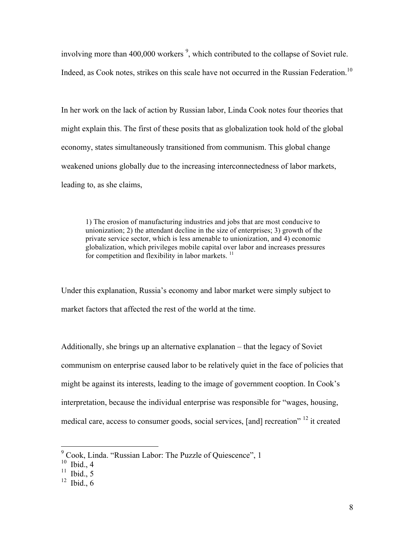involving more than  $400,000$  workers<sup>9</sup>, which contributed to the collapse of Soviet rule. Indeed, as Cook notes, strikes on this scale have not occurred in the Russian Federation.<sup>10</sup>

In her work on the lack of action by Russian labor, Linda Cook notes four theories that might explain this. The first of these posits that as globalization took hold of the global economy, states simultaneously transitioned from communism. This global change weakened unions globally due to the increasing interconnectedness of labor markets, leading to, as she claims,

1) The erosion of manufacturing industries and jobs that are most conducive to unionization; 2) the attendant decline in the size of enterprises; 3) growth of the private service sector, which is less amenable to unionization, and 4) economic globalization, which privileges mobile capital over labor and increases pressures for competition and flexibility in labor markets.<sup>11</sup>

Under this explanation, Russia's economy and labor market were simply subject to market factors that affected the rest of the world at the time.

Additionally, she brings up an alternative explanation – that the legacy of Soviet communism on enterprise caused labor to be relatively quiet in the face of policies that might be against its interests, leading to the image of government cooption. In Cook's interpretation, because the individual enterprise was responsible for "wages, housing, medical care, access to consumer goods, social services, [and] recreation" <sup>12</sup> it created

 <sup>9</sup> Cook, Linda. "Russian Labor: The Puzzle of Quiescence", 1

 $10$  Ibid., 4

 $11$  Ibid., 5

 $12$  Ibid., 6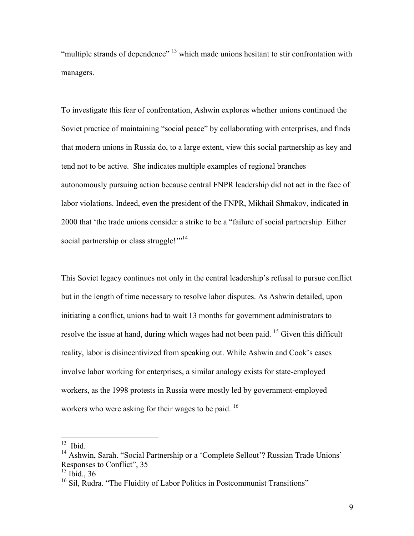"multiple strands of dependence" <sup>13</sup> which made unions hesitant to stir confrontation with managers.

To investigate this fear of confrontation, Ashwin explores whether unions continued the Soviet practice of maintaining "social peace" by collaborating with enterprises, and finds that modern unions in Russia do, to a large extent, view this social partnership as key and tend not to be active. She indicates multiple examples of regional branches autonomously pursuing action because central FNPR leadership did not act in the face of labor violations. Indeed, even the president of the FNPR, Mikhail Shmakov, indicated in 2000 that 'the trade unions consider a strike to be a "failure of social partnership. Either social partnership or class struggle!"<sup>14</sup>

This Soviet legacy continues not only in the central leadership's refusal to pursue conflict but in the length of time necessary to resolve labor disputes. As Ashwin detailed, upon initiating a conflict, unions had to wait 13 months for government administrators to resolve the issue at hand, during which wages had not been paid. <sup>15</sup> Given this difficult reality, labor is disincentivized from speaking out. While Ashwin and Cook's cases involve labor working for enterprises, a similar analogy exists for state-employed workers, as the 1998 protests in Russia were mostly led by government-employed workers who were asking for their wages to be paid.<sup>16</sup>

 $13$  Ibid.

<sup>&</sup>lt;sup>14</sup> Ashwin, Sarah. "Social Partnership or a 'Complete Sellout'? Russian Trade Unions' Responses to Conflict", 35

 $15$  Ibid., 36

 $16$  Sil, Rudra. "The Fluidity of Labor Politics in Postcommunist Transitions"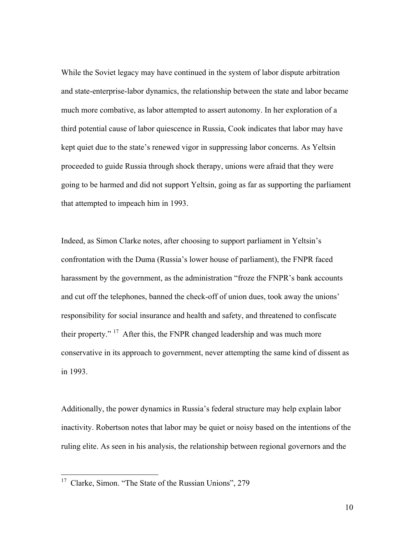While the Soviet legacy may have continued in the system of labor dispute arbitration and state-enterprise-labor dynamics, the relationship between the state and labor became much more combative, as labor attempted to assert autonomy. In her exploration of a third potential cause of labor quiescence in Russia, Cook indicates that labor may have kept quiet due to the state's renewed vigor in suppressing labor concerns. As Yeltsin proceeded to guide Russia through shock therapy, unions were afraid that they were going to be harmed and did not support Yeltsin, going as far as supporting the parliament that attempted to impeach him in 1993.

Indeed, as Simon Clarke notes, after choosing to support parliament in Yeltsin's confrontation with the Duma (Russia's lower house of parliament), the FNPR faced harassment by the government, as the administration "froze the FNPR's bank accounts and cut off the telephones, banned the check-off of union dues, took away the unions' responsibility for social insurance and health and safety, and threatened to confiscate their property."  $17$  After this, the FNPR changed leadership and was much more conservative in its approach to government, never attempting the same kind of dissent as in 1993.

Additionally, the power dynamics in Russia's federal structure may help explain labor inactivity. Robertson notes that labor may be quiet or noisy based on the intentions of the ruling elite. As seen in his analysis, the relationship between regional governors and the

<sup>&</sup>lt;sup>17</sup> Clarke, Simon. "The State of the Russian Unions", 279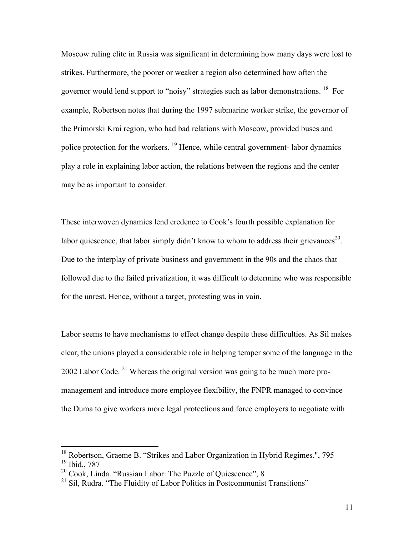Moscow ruling elite in Russia was significant in determining how many days were lost to strikes. Furthermore, the poorer or weaker a region also determined how often the governor would lend support to "noisy" strategies such as labor demonstrations. 18 For example, Robertson notes that during the 1997 submarine worker strike, the governor of the Primorski Krai region, who had bad relations with Moscow, provided buses and police protection for the workers. 19 Hence, while central government- labor dynamics play a role in explaining labor action, the relations between the regions and the center may be as important to consider.

These interwoven dynamics lend credence to Cook's fourth possible explanation for labor quiescence, that labor simply didn't know to whom to address their grievances<sup>20</sup>. Due to the interplay of private business and government in the 90s and the chaos that followed due to the failed privatization, it was difficult to determine who was responsible for the unrest. Hence, without a target, protesting was in vain.

Labor seems to have mechanisms to effect change despite these difficulties. As Sil makes clear, the unions played a considerable role in helping temper some of the language in the 2002 Labor Code. <sup>21</sup> Whereas the original version was going to be much more promanagement and introduce more employee flexibility, the FNPR managed to convince the Duma to give workers more legal protections and force employers to negotiate with

<sup>&</sup>lt;sup>18</sup> Robertson, Graeme B. "Strikes and Labor Organization in Hybrid Regimes.", 795 <sup>19</sup> Ibid., 787

<sup>20</sup> Cook, Linda. "Russian Labor: The Puzzle of Quiescence", 8

 $21$  Sil, Rudra. "The Fluidity of Labor Politics in Postcommunist Transitions"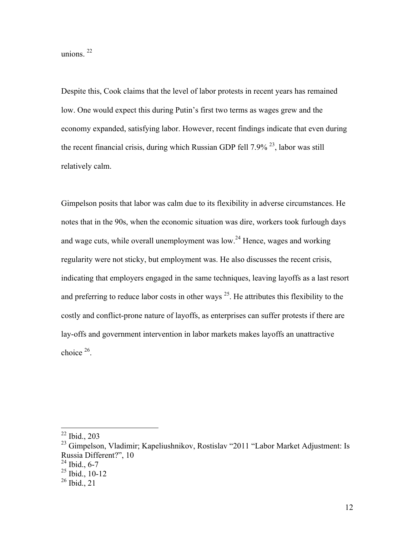unions.<sup>22</sup>

Despite this, Cook claims that the level of labor protests in recent years has remained low. One would expect this during Putin's first two terms as wages grew and the economy expanded, satisfying labor. However, recent findings indicate that even during the recent financial crisis, during which Russian GDP fell  $7.9\%$ <sup>23</sup>, labor was still relatively calm.

Gimpelson posits that labor was calm due to its flexibility in adverse circumstances. He notes that in the 90s, when the economic situation was dire, workers took furlough days and wage cuts, while overall unemployment was low.<sup>24</sup> Hence, wages and working regularity were not sticky, but employment was. He also discusses the recent crisis, indicating that employers engaged in the same techniques, leaving layoffs as a last resort and preferring to reduce labor costs in other ways  $^{25}$ . He attributes this flexibility to the costly and conflict-prone nature of layoffs, as enterprises can suffer protests if there are lay-offs and government intervention in labor markets makes layoffs an unattractive choice 26.

 $22$  Ibid., 203

<sup>&</sup>lt;sup>23</sup> Gimpelson, Vladimir; Kapeliushnikov, Rostislav "2011 "Labor Market Adjustment: Is Russia Different?", 10

 $24$  Ibid., 6-7

 $25$  Ibid., 10-12

 $26$  Ibid., 21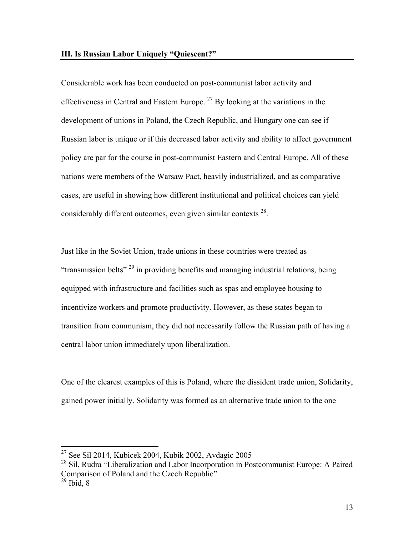Considerable work has been conducted on post-communist labor activity and effectiveness in Central and Eastern Europe.<sup>27</sup> By looking at the variations in the development of unions in Poland, the Czech Republic, and Hungary one can see if Russian labor is unique or if this decreased labor activity and ability to affect government policy are par for the course in post-communist Eastern and Central Europe. All of these nations were members of the Warsaw Pact, heavily industrialized, and as comparative cases, are useful in showing how different institutional and political choices can yield considerably different outcomes, even given similar contexts  $28$ .

Just like in the Soviet Union, trade unions in these countries were treated as "transmission belts" <sup>29</sup> in providing benefits and managing industrial relations, being equipped with infrastructure and facilities such as spas and employee housing to incentivize workers and promote productivity. However, as these states began to transition from communism, they did not necessarily follow the Russian path of having a central labor union immediately upon liberalization.

One of the clearest examples of this is Poland, where the dissident trade union, Solidarity, gained power initially. Solidarity was formed as an alternative trade union to the one

 $27$  See Sil 2014, Kubicek 2004, Kubik 2002, Avdagic 2005

 $^{28}$  Sil, Rudra "Liberalization and Labor Incorporation in Postcommunist Europe: A Paired Comparison of Poland and the Czech Republic"

 $29$  Ibid, 8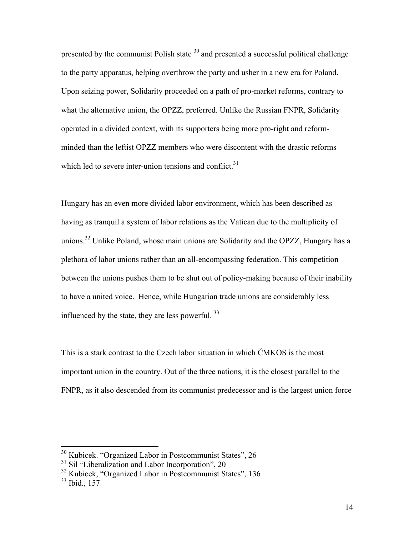presented by the communist Polish state <sup>30</sup> and presented a successful political challenge to the party apparatus, helping overthrow the party and usher in a new era for Poland. Upon seizing power, Solidarity proceeded on a path of pro-market reforms, contrary to what the alternative union, the OPZZ, preferred. Unlike the Russian FNPR, Solidarity operated in a divided context, with its supporters being more pro-right and reformminded than the leftist OPZZ members who were discontent with the drastic reforms which led to severe inter-union tensions and conflict.<sup>31</sup>

Hungary has an even more divided labor environment, which has been described as having as tranquil a system of labor relations as the Vatican due to the multiplicity of unions.<sup>32</sup> Unlike Poland, whose main unions are Solidarity and the OPZZ, Hungary has a plethora of labor unions rather than an all-encompassing federation. This competition between the unions pushes them to be shut out of policy-making because of their inability to have a united voice. Hence, while Hungarian trade unions are considerably less influenced by the state, they are less powerful. <sup>33</sup>

This is a stark contrast to the Czech labor situation in which ČMKOS is the most important union in the country. Out of the three nations, it is the closest parallel to the FNPR, as it also descended from its communist predecessor and is the largest union force

 <sup>30</sup> Kubicek. "Organized Labor in Postcommunist States", 26

 $31$  Sil "Liberalization and Labor Incorporation", 20

<sup>32</sup> Kubicek, "Organized Labor in Postcommunist States", 136

<sup>33</sup> Ibid., 157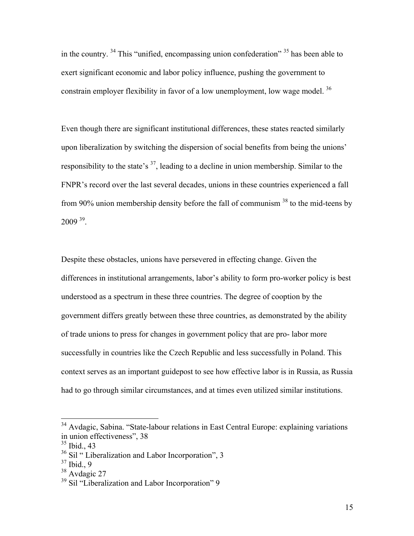in the country. <sup>34</sup> This "unified, encompassing union confederation" <sup>35</sup> has been able to exert significant economic and labor policy influence, pushing the government to constrain employer flexibility in favor of a low unemployment, low wage model.<sup>36</sup>

Even though there are significant institutional differences, these states reacted similarly upon liberalization by switching the dispersion of social benefits from being the unions' responsibility to the state's  $3^7$ , leading to a decline in union membership. Similar to the FNPR's record over the last several decades, unions in these countries experienced a fall from 90% union membership density before the fall of communism <sup>38</sup> to the mid-teens by  $2009^{39}$ .

Despite these obstacles, unions have persevered in effecting change. Given the differences in institutional arrangements, labor's ability to form pro-worker policy is best understood as a spectrum in these three countries. The degree of cooption by the government differs greatly between these three countries, as demonstrated by the ability of trade unions to press for changes in government policy that are pro- labor more successfully in countries like the Czech Republic and less successfully in Poland. This context serves as an important guidepost to see how effective labor is in Russia, as Russia had to go through similar circumstances, and at times even utilized similar institutions.

<sup>&</sup>lt;sup>34</sup> Avdagic, Sabina. "State-labour relations in East Central Europe: explaining variations in union effectiveness", 38

<sup>35</sup> Ibid., 43

<sup>&</sup>lt;sup>36</sup> Sil " Liberalization and Labor Incorporation", 3

 $37$  Ibid., 9

<sup>&</sup>lt;sup>38</sup> Avdagic 27

<sup>&</sup>lt;sup>39</sup> Sil "Liberalization and Labor Incorporation" 9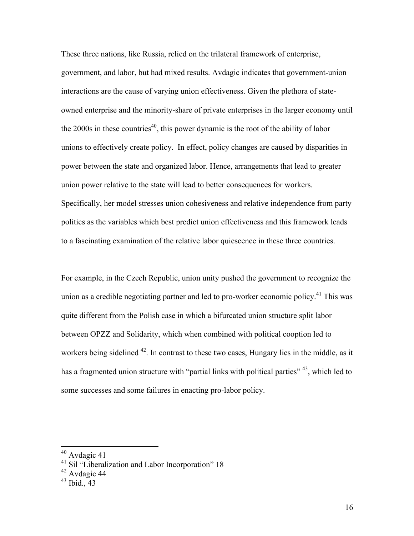These three nations, like Russia, relied on the trilateral framework of enterprise, government, and labor, but had mixed results. Avdagic indicates that government-union interactions are the cause of varying union effectiveness. Given the plethora of stateowned enterprise and the minority-share of private enterprises in the larger economy until the 2000s in these countries<sup>40</sup>, this power dynamic is the root of the ability of labor unions to effectively create policy. In effect, policy changes are caused by disparities in power between the state and organized labor. Hence, arrangements that lead to greater union power relative to the state will lead to better consequences for workers. Specifically, her model stresses union cohesiveness and relative independence from party politics as the variables which best predict union effectiveness and this framework leads to a fascinating examination of the relative labor quiescence in these three countries.

For example, in the Czech Republic, union unity pushed the government to recognize the union as a credible negotiating partner and led to pro-worker economic policy.<sup>41</sup> This was quite different from the Polish case in which a bifurcated union structure split labor between OPZZ and Solidarity, which when combined with political cooption led to workers being sidelined  $42$ . In contrast to these two cases, Hungary lies in the middle, as it has a fragmented union structure with "partial links with political parties" <sup>43</sup>, which led to some successes and some failures in enacting pro-labor policy.

 <sup>40</sup> Avdagic 41

<sup>&</sup>lt;sup>41</sup> Sil "Liberalization and Labor Incorporation" 18

<sup>42</sup> Avdagic 44

 $43$  Ibid., 43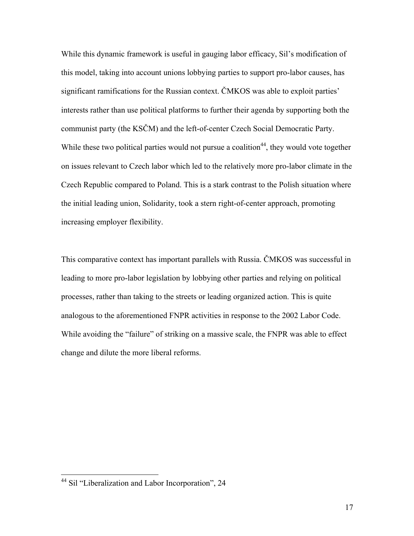While this dynamic framework is useful in gauging labor efficacy, Sil's modification of this model, taking into account unions lobbying parties to support pro-labor causes, has significant ramifications for the Russian context. ČMKOS was able to exploit parties' interests rather than use political platforms to further their agenda by supporting both the communist party (the KSČM) and the left-of-center Czech Social Democratic Party. While these two political parties would not pursue a coalition<sup>44</sup>, they would vote together on issues relevant to Czech labor which led to the relatively more pro-labor climate in the Czech Republic compared to Poland. This is a stark contrast to the Polish situation where the initial leading union, Solidarity, took a stern right-of-center approach, promoting increasing employer flexibility.

This comparative context has important parallels with Russia. ČMKOS was successful in leading to more pro-labor legislation by lobbying other parties and relying on political processes, rather than taking to the streets or leading organized action. This is quite analogous to the aforementioned FNPR activities in response to the 2002 Labor Code. While avoiding the "failure" of striking on a massive scale, the FNPR was able to effect change and dilute the more liberal reforms.

 <sup>44</sup> Sil "Liberalization and Labor Incorporation", 24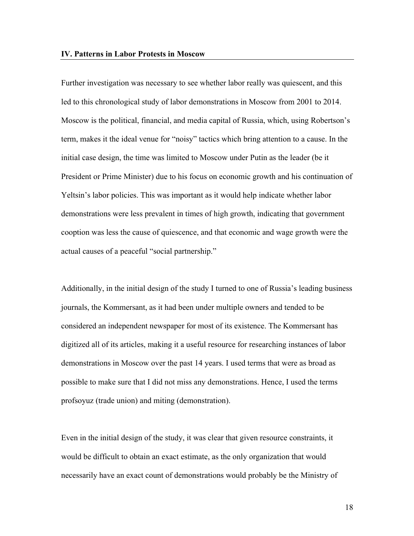Further investigation was necessary to see whether labor really was quiescent, and this led to this chronological study of labor demonstrations in Moscow from 2001 to 2014. Moscow is the political, financial, and media capital of Russia, which, using Robertson's term, makes it the ideal venue for "noisy" tactics which bring attention to a cause. In the initial case design, the time was limited to Moscow under Putin as the leader (be it President or Prime Minister) due to his focus on economic growth and his continuation of Yeltsin's labor policies. This was important as it would help indicate whether labor demonstrations were less prevalent in times of high growth, indicating that government cooption was less the cause of quiescence, and that economic and wage growth were the actual causes of a peaceful "social partnership."

Additionally, in the initial design of the study I turned to one of Russia's leading business journals, the Kommersant, as it had been under multiple owners and tended to be considered an independent newspaper for most of its existence. The Kommersant has digitized all of its articles, making it a useful resource for researching instances of labor demonstrations in Moscow over the past 14 years. I used terms that were as broad as possible to make sure that I did not miss any demonstrations. Hence, I used the terms profsoyuz (trade union) and miting (demonstration).

Even in the initial design of the study, it was clear that given resource constraints, it would be difficult to obtain an exact estimate, as the only organization that would necessarily have an exact count of demonstrations would probably be the Ministry of

18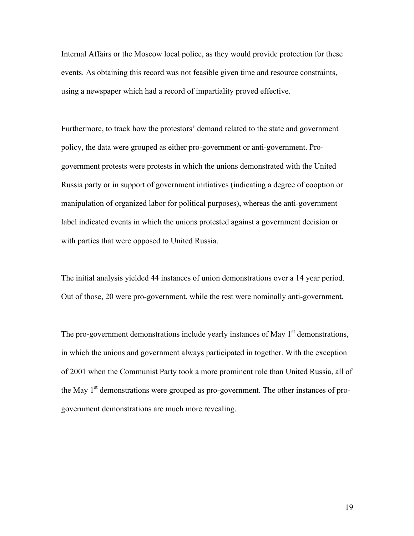Internal Affairs or the Moscow local police, as they would provide protection for these events. As obtaining this record was not feasible given time and resource constraints, using a newspaper which had a record of impartiality proved effective.

Furthermore, to track how the protestors' demand related to the state and government policy, the data were grouped as either pro-government or anti-government. Progovernment protests were protests in which the unions demonstrated with the United Russia party or in support of government initiatives (indicating a degree of cooption or manipulation of organized labor for political purposes), whereas the anti-government label indicated events in which the unions protested against a government decision or with parties that were opposed to United Russia.

The initial analysis yielded 44 instances of union demonstrations over a 14 year period. Out of those, 20 were pro-government, while the rest were nominally anti-government.

The pro-government demonstrations include yearly instances of May 1<sup>st</sup> demonstrations, in which the unions and government always participated in together. With the exception of 2001 when the Communist Party took a more prominent role than United Russia, all of the May  $1<sup>st</sup>$  demonstrations were grouped as pro-government. The other instances of progovernment demonstrations are much more revealing.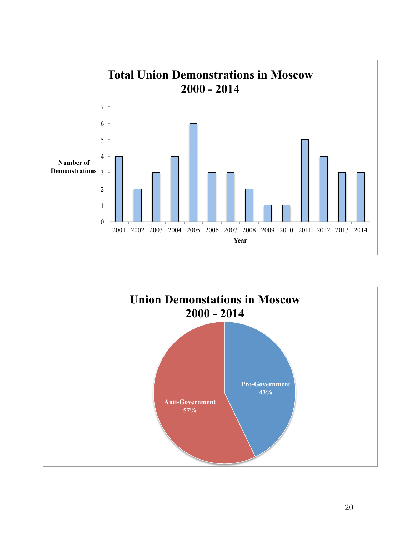

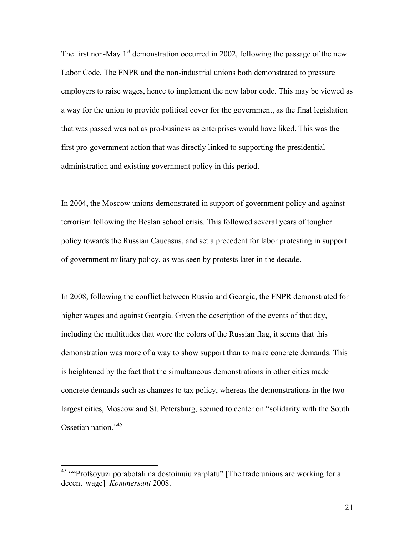The first non-May  $1<sup>st</sup>$  demonstration occurred in 2002, following the passage of the new Labor Code. The FNPR and the non-industrial unions both demonstrated to pressure employers to raise wages, hence to implement the new labor code. This may be viewed as a way for the union to provide political cover for the government, as the final legislation that was passed was not as pro-business as enterprises would have liked. This was the first pro-government action that was directly linked to supporting the presidential administration and existing government policy in this period.

In 2004, the Moscow unions demonstrated in support of government policy and against terrorism following the Beslan school crisis. This followed several years of tougher policy towards the Russian Caucasus, and set a precedent for labor protesting in support of government military policy, as was seen by protests later in the decade.

In 2008, following the conflict between Russia and Georgia, the FNPR demonstrated for higher wages and against Georgia. Given the description of the events of that day, including the multitudes that wore the colors of the Russian flag, it seems that this demonstration was more of a way to show support than to make concrete demands. This is heightened by the fact that the simultaneous demonstrations in other cities made concrete demands such as changes to tax policy, whereas the demonstrations in the two largest cities, Moscow and St. Petersburg, seemed to center on "solidarity with the South Ossetian nation."45

<sup>&</sup>lt;sup>45</sup> "Profsoyuzi porabotali na dostoinuiu zarplatu" [The trade unions are working for a decent wage] *Kommersant* 2008.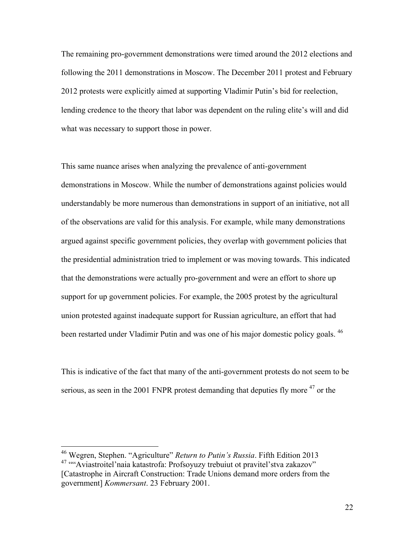The remaining pro-government demonstrations were timed around the 2012 elections and following the 2011 demonstrations in Moscow. The December 2011 protest and February 2012 protests were explicitly aimed at supporting Vladimir Putin's bid for reelection, lending credence to the theory that labor was dependent on the ruling elite's will and did what was necessary to support those in power.

This same nuance arises when analyzing the prevalence of anti-government demonstrations in Moscow. While the number of demonstrations against policies would understandably be more numerous than demonstrations in support of an initiative, not all of the observations are valid for this analysis. For example, while many demonstrations argued against specific government policies, they overlap with government policies that the presidential administration tried to implement or was moving towards. This indicated that the demonstrations were actually pro-government and were an effort to shore up support for up government policies. For example, the 2005 protest by the agricultural union protested against inadequate support for Russian agriculture, an effort that had been restarted under Vladimir Putin and was one of his major domestic policy goals. <sup>46</sup>

This is indicative of the fact that many of the anti-government protests do not seem to be serious, as seen in the 2001 FNPR protest demanding that deputies fly more <sup>47</sup> or the

 <sup>46</sup> Wegren, Stephen. "Agriculture" *Return to Putin's Russia*. Fifth Edition 2013 <sup>47</sup> ""Aviastroitel'naia katastrofa: Profsoyuzy trebuiut ot pravitel'stva zakazov" [Catastrophe in Aircraft Construction: Trade Unions demand more orders from the government] *Kommersant*. 23 February 2001.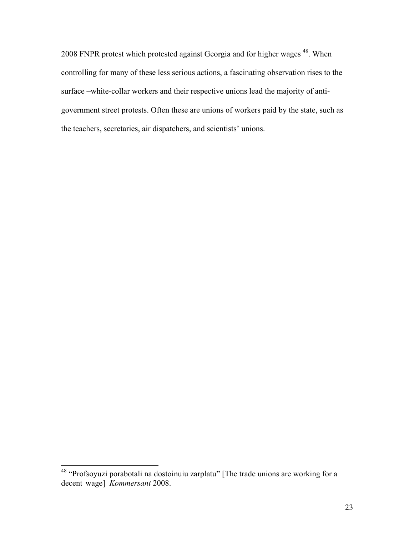2008 FNPR protest which protested against Georgia and for higher wages 48. When controlling for many of these less serious actions, a fascinating observation rises to the surface –white-collar workers and their respective unions lead the majority of antigovernment street protests. Often these are unions of workers paid by the state, such as the teachers, secretaries, air dispatchers, and scientists' unions.

 <sup>48</sup> "Profsoyuzi porabotali na dostoinuiu zarplatu" [The trade unions are working for a decent wage] *Kommersant* 2008.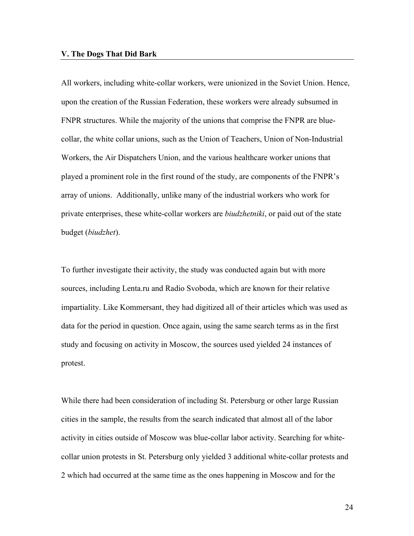### **V. The Dogs That Did Bark**

All workers, including white-collar workers, were unionized in the Soviet Union. Hence, upon the creation of the Russian Federation, these workers were already subsumed in FNPR structures. While the majority of the unions that comprise the FNPR are bluecollar, the white collar unions, such as the Union of Teachers, Union of Non-Industrial Workers, the Air Dispatchers Union, and the various healthcare worker unions that played a prominent role in the first round of the study, are components of the FNPR's array of unions. Additionally, unlike many of the industrial workers who work for private enterprises, these white-collar workers are *biudzhetniki*, or paid out of the state budget (*biudzhet*).

To further investigate their activity, the study was conducted again but with more sources, including Lenta.ru and Radio Svoboda, which are known for their relative impartiality. Like Kommersant, they had digitized all of their articles which was used as data for the period in question. Once again, using the same search terms as in the first study and focusing on activity in Moscow, the sources used yielded 24 instances of protest.

While there had been consideration of including St. Petersburg or other large Russian cities in the sample, the results from the search indicated that almost all of the labor activity in cities outside of Moscow was blue-collar labor activity. Searching for whitecollar union protests in St. Petersburg only yielded 3 additional white-collar protests and 2 which had occurred at the same time as the ones happening in Moscow and for the

24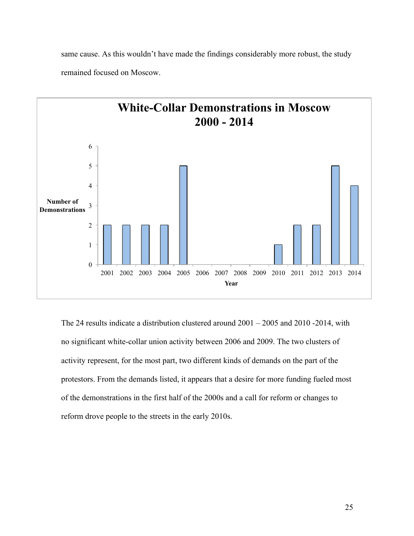same cause. As this wouldn't have made the findings considerably more robust, the study remained focused on Moscow.



The 24 results indicate a distribution clustered around 2001 – 2005 and 2010 -2014, with no significant white-collar union activity between 2006 and 2009. The two clusters of activity represent, for the most part, two different kinds of demands on the part of the protestors. From the demands listed, it appears that a desire for more funding fueled most of the demonstrations in the first half of the 2000s and a call for reform or changes to reform drove people to the streets in the early 2010s.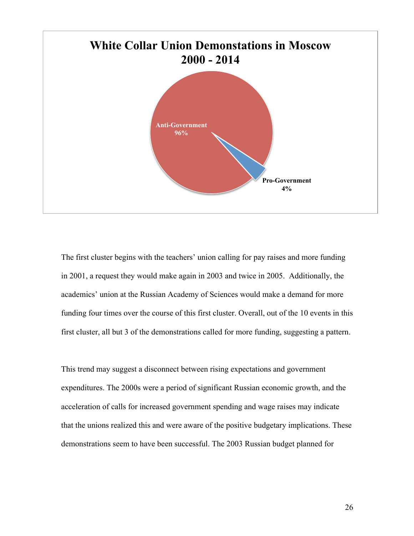

The first cluster begins with the teachers' union calling for pay raises and more funding in 2001, a request they would make again in 2003 and twice in 2005. Additionally, the academics' union at the Russian Academy of Sciences would make a demand for more funding four times over the course of this first cluster. Overall, out of the 10 events in this first cluster, all but 3 of the demonstrations called for more funding, suggesting a pattern.

This trend may suggest a disconnect between rising expectations and government expenditures. The 2000s were a period of significant Russian economic growth, and the acceleration of calls for increased government spending and wage raises may indicate that the unions realized this and were aware of the positive budgetary implications. These demonstrations seem to have been successful. The 2003 Russian budget planned for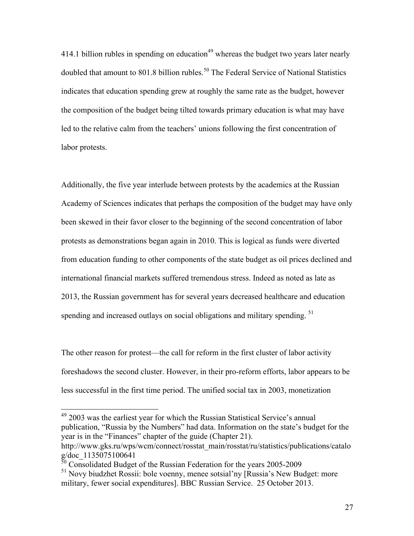414.1 billion rubles in spending on education<sup>49</sup> whereas the budget two years later nearly doubled that amount to 801.8 billion rubles.<sup>50</sup> The Federal Service of National Statistics indicates that education spending grew at roughly the same rate as the budget, however the composition of the budget being tilted towards primary education is what may have led to the relative calm from the teachers' unions following the first concentration of labor protests.

Additionally, the five year interlude between protests by the academics at the Russian Academy of Sciences indicates that perhaps the composition of the budget may have only been skewed in their favor closer to the beginning of the second concentration of labor protests as demonstrations began again in 2010. This is logical as funds were diverted from education funding to other components of the state budget as oil prices declined and international financial markets suffered tremendous stress. Indeed as noted as late as 2013, the Russian government has for several years decreased healthcare and education spending and increased outlays on social obligations and military spending. <sup>51</sup>

The other reason for protest—the call for reform in the first cluster of labor activity foreshadows the second cluster. However, in their pro-reform efforts, labor appears to be less successful in the first time period. The unified social tax in 2003, monetization

 <sup>49</sup> 2003 was the earliest year for which the Russian Statistical Service's annual publication, "Russia by the Numbers" had data. Information on the state's budget for the year is in the "Finances" chapter of the guide (Chapter 21).

http://www.gks.ru/wps/wcm/connect/rosstat\_main/rosstat/ru/statistics/publications/catalo g/doc\_1135075100641

 $\frac{50}{10}$  Consolidated Budget of the Russian Federation for the years 2005-2009

<sup>&</sup>lt;sup>51</sup> Novy biudzhet Rossii: bole voenny, menee sotsial'ny [Russia's New Budget: more military, fewer social expenditures]. BBC Russian Service. 25 October 2013.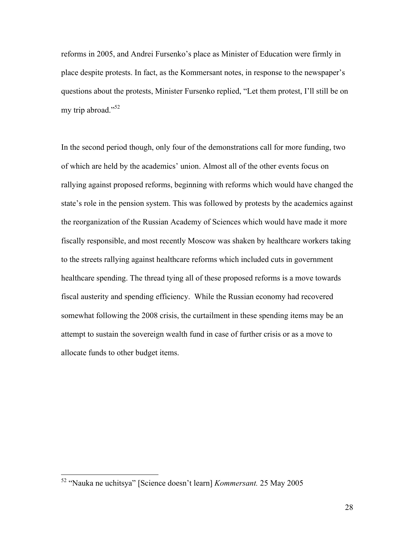reforms in 2005, and Andrei Fursenko's place as Minister of Education were firmly in place despite protests. In fact, as the Kommersant notes, in response to the newspaper's questions about the protests, Minister Fursenko replied, "Let them protest, I'll still be on my trip abroad."<sup>52</sup>

In the second period though, only four of the demonstrations call for more funding, two of which are held by the academics' union. Almost all of the other events focus on rallying against proposed reforms, beginning with reforms which would have changed the state's role in the pension system. This was followed by protests by the academics against the reorganization of the Russian Academy of Sciences which would have made it more fiscally responsible, and most recently Moscow was shaken by healthcare workers taking to the streets rallying against healthcare reforms which included cuts in government healthcare spending. The thread tying all of these proposed reforms is a move towards fiscal austerity and spending efficiency. While the Russian economy had recovered somewhat following the 2008 crisis, the curtailment in these spending items may be an attempt to sustain the sovereign wealth fund in case of further crisis or as a move to allocate funds to other budget items.

 <sup>52</sup> "Nauka ne uchitsya" [Science doesn't learn] *Kommersant.* 25 May 2005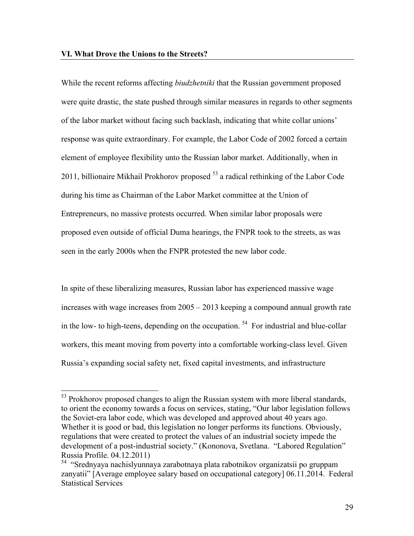While the recent reforms affecting *biudzhetniki* that the Russian government proposed were quite drastic, the state pushed through similar measures in regards to other segments of the labor market without facing such backlash, indicating that white collar unions' response was quite extraordinary. For example, the Labor Code of 2002 forced a certain element of employee flexibility unto the Russian labor market. Additionally, when in 2011, billionaire Mikhail Prokhorov proposed  $53$  a radical rethinking of the Labor Code during his time as Chairman of the Labor Market committee at the Union of Entrepreneurs, no massive protests occurred. When similar labor proposals were proposed even outside of official Duma hearings, the FNPR took to the streets, as was seen in the early 2000s when the FNPR protested the new labor code.

In spite of these liberalizing measures, Russian labor has experienced massive wage increases with wage increases from 2005 – 2013 keeping a compound annual growth rate in the low- to high-teens, depending on the occupation.  $54$  For industrial and blue-collar workers, this meant moving from poverty into a comfortable working-class level. Given Russia's expanding social safety net, fixed capital investments, and infrastructure

<sup>&</sup>lt;sup>53</sup> Prokhorov proposed changes to align the Russian system with more liberal standards, to orient the economy towards a focus on services, stating, "Our labor legislation follows the Soviet-era labor code, which was developed and approved about 40 years ago. Whether it is good or bad, this legislation no longer performs its functions. Obviously, regulations that were created to protect the values of an industrial society impede the development of a post-industrial society." (Kononova, Svetlana. "Labored Regulation" Russia Profile. 04.12.2011)

<sup>54 &</sup>quot;Srednyaya nachislyunnaya zarabotnaya plata rabotnikov organizatsii po gruppam zanyatii" [Average employee salary based on occupational category] 06.11.2014. Federal Statistical Services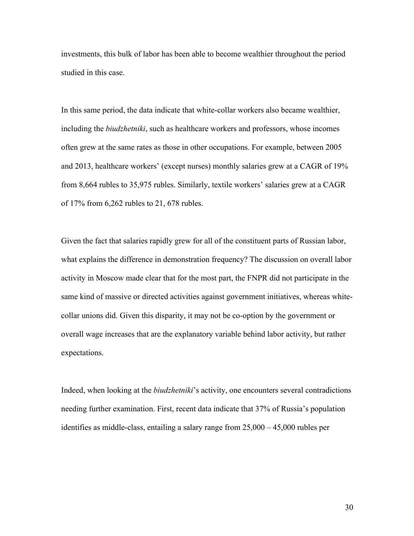investments, this bulk of labor has been able to become wealthier throughout the period studied in this case.

In this same period, the data indicate that white-collar workers also became wealthier, including the *biudzhetniki*, such as healthcare workers and professors, whose incomes often grew at the same rates as those in other occupations. For example, between 2005 and 2013, healthcare workers' (except nurses) monthly salaries grew at a CAGR of 19% from 8,664 rubles to 35,975 rubles. Similarly, textile workers' salaries grew at a CAGR of 17% from 6,262 rubles to 21, 678 rubles.

Given the fact that salaries rapidly grew for all of the constituent parts of Russian labor, what explains the difference in demonstration frequency? The discussion on overall labor activity in Moscow made clear that for the most part, the FNPR did not participate in the same kind of massive or directed activities against government initiatives, whereas whitecollar unions did. Given this disparity, it may not be co-option by the government or overall wage increases that are the explanatory variable behind labor activity, but rather expectations.

Indeed, when looking at the *biudzhetniki*'s activity, one encounters several contradictions needing further examination. First, recent data indicate that 37% of Russia's population identifies as middle-class, entailing a salary range from 25,000 – 45,000 rubles per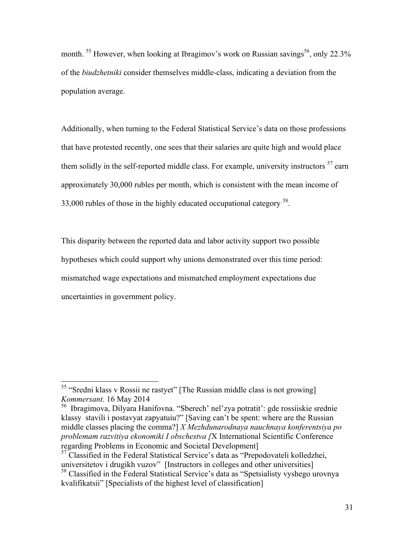month. <sup>55</sup> However, when looking at Ibragimov's work on Russian savings<sup>56</sup>, only 22.3% of the *biudzhetniki* consider themselves middle-class, indicating a deviation from the population average.

Additionally, when turning to the Federal Statistical Service's data on those professions that have protested recently, one sees that their salaries are quite high and would place them solidly in the self-reported middle class. For example, university instructors  $57$  earn approximately 30,000 rubles per month, which is consistent with the mean income of 33,000 rubles of those in the highly educated occupational category  $^{58}$ .

This disparity between the reported data and labor activity support two possible hypotheses which could support why unions demonstrated over this time period: mismatched wage expectations and mismatched employment expectations due uncertainties in government policy.

 <sup>55</sup> "Sredni klass v Rossii ne rastyet" [The Russian middle class is not growing] *Kommersant*. 16 May 2014

<sup>56</sup> Ibragimova, Dilyara Hanifovna. "Sberech' nel'zya potratit': gde rossiiskie srednie klassy stavili i postavyat zapyatuiu?" [Saving can't be spent: where are the Russian middle classes placing the comma?] *X Mezhdunarodnaya nauchnaya konferentsiya po problemam razvitiya ekonomiki I obschestva [*X International Scientific Conference regarding Problems in Economic and Societal Development]

 $57$  Classified in the Federal Statistical Service's data as "Prepodovateli kolledzhei, universitetov i drugikh vuzov" [Instructors in colleges and other universities]

<sup>&</sup>lt;sup>58</sup> Classified in the Federal Statistical Service's data as "Spetsialisty vyshego urovnya" kvalifikatsii" [Specialists of the highest level of classification]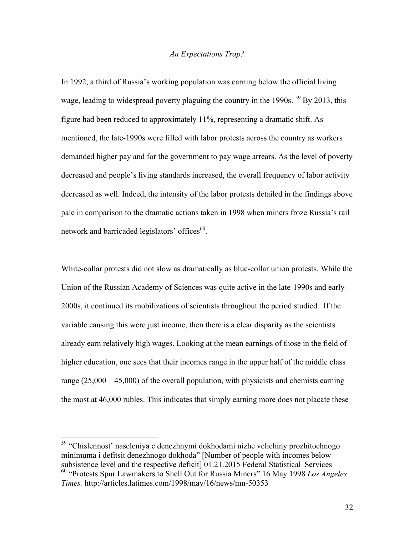### *An Expectations Trap?*

In 1992, a third of Russia's working population was earning below the official living wage, leading to widespread poverty plaguing the country in the 1990s. <sup>59</sup> By 2013, this figure had been reduced to approximately 11%, representing a dramatic shift. As mentioned, the late-1990s were filled with labor protests across the country as workers demanded higher pay and for the government to pay wage arrears. As the level of poverty decreased and people's living standards increased, the overall frequency of labor activity decreased as well. Indeed, the intensity of the labor protests detailed in the findings above pale in comparison to the dramatic actions taken in 1998 when miners froze Russia's rail network and barricaded legislators' offices<sup>60</sup>.

White-collar protests did not slow as dramatically as blue-collar union protests. While the Union of the Russian Academy of Sciences was quite active in the late-1990s and early-2000s, it continued its mobilizations of scientists throughout the period studied. If the variable causing this were just income, then there is a clear disparity as the scientists already earn relatively high wages. Looking at the mean earnings of those in the field of higher education, one sees that their incomes range in the upper half of the middle class range (25,000 – 45,000) of the overall population, with physicists and chemists earning the most at 46,000 rubles. This indicates that simply earning more does not placate these

 <sup>59</sup> "Chislennost' naseleniya c denezhnymi dokhodami nizhe velichiny prozhitochnogo minimuma i defitsit denezhnogo dokhoda" [Number of people with incomes below subsistence level and the respective deficit [01.21.2015 Federal Statistical Services <sup>60</sup> "Protests Spur Lawmakers to Shell Out for Russia Miners" 16 May 1998 *Los Angeles* 

*Times.* http://articles.latimes.com/1998/may/16/news/mn-50353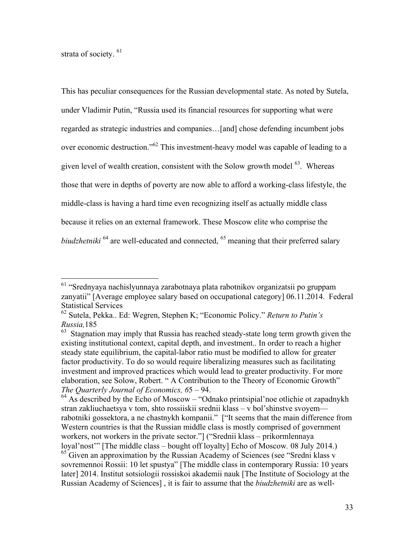strata of society.<sup>61</sup>

This has peculiar consequences for the Russian developmental state. As noted by Sutela, under Vladimir Putin, "Russia used its financial resources for supporting what were regarded as strategic industries and companies…[and] chose defending incumbent jobs over economic destruction."62 This investment-heavy model was capable of leading to a given level of wealth creation, consistent with the Solow growth model  $^{63}$ . Whereas those that were in depths of poverty are now able to afford a working-class lifestyle, the middle-class is having a hard time even recognizing itself as actually middle class because it relies on an external framework. These Moscow elite who comprise the *biudzhetniki* <sup>64</sup> are well-educated and connected, <sup>65</sup> meaning that their preferred salary

 <sup>61</sup> "Srednyaya nachislyunnaya zarabotnaya plata rabotnikov organizatsii po gruppam zanyatii" [Average employee salary based on occupational category] 06.11.2014. Federal Statistical Services

<sup>62</sup> Sutela, Pekka.. Ed: Wegren, Stephen K; "Economic Policy." *Return to Putin's Russia,*185

 $63$  Stagnation may imply that Russia has reached steady-state long term growth given the existing institutional context, capital depth, and investment.. In order to reach a higher steady state equilibrium, the capital-labor ratio must be modified to allow for greater factor productivity. To do so would require liberalizing measures such as facilitating investment and improved practices which would lead to greater productivity. For more elaboration, see Solow, Robert. " A Contribution to the Theory of Economic Growth" *The Quarterly Journal of Economics, 6*5 – 94.

<sup>64</sup> As described by the Echo of Moscow – "Odnako printsipial'noe otlichie ot zapadnykh stran zakliuchaetsya v tom, shto rossiiskii srednii klass – v bol'shinstve svoyem rabotniki gossektora, a ne chastnykh kompanii." ["It seems that the main difference from Western countries is that the Russian middle class is mostly comprised of government workers, not workers in the private sector."] ("Srednii klass – prikormlennaya loyal'nost'" [The middle class – bought off loyalty] Echo of Moscow*.* 08 July 2014.)  $65$  Given an approximation by the Russian Academy of Sciences (see "Sredni klass v sovremennoi Rossii: 10 let spustya" [The middle class in contemporary Russia: 10 years later] 2014. Institut sotsiologii rossiskoi akademii nauk [The Institute of Sociology at the Russian Academy of Sciences] , it is fair to assume that the *biudzhetniki* are as well-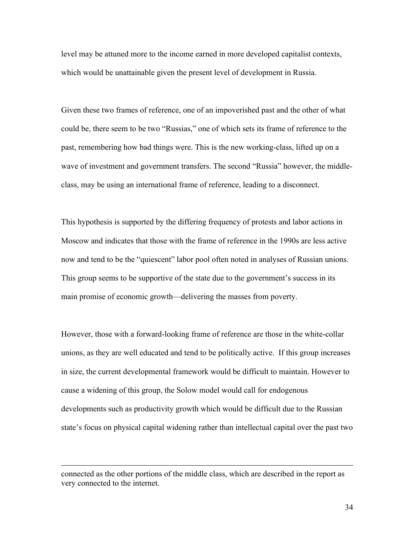level may be attuned more to the income earned in more developed capitalist contexts, which would be unattainable given the present level of development in Russia.

Given these two frames of reference, one of an impoverished past and the other of what could be, there seem to be two "Russias," one of which sets its frame of reference to the past, remembering how bad things were. This is the new working-class, lifted up on a wave of investment and government transfers. The second "Russia" however, the middleclass, may be using an international frame of reference, leading to a disconnect.

This hypothesis is supported by the differing frequency of protests and labor actions in Moscow and indicates that those with the frame of reference in the 1990s are less active now and tend to be the "quiescent" labor pool often noted in analyses of Russian unions. This group seems to be supportive of the state due to the government's success in its main promise of economic growth—delivering the masses from poverty.

However, those with a forward-looking frame of reference are those in the white-collar unions, as they are well educated and tend to be politically active. If this group increases in size, the current developmental framework would be difficult to maintain. However to cause a widening of this group, the Solow model would call for endogenous developments such as productivity growth which would be difficult due to the Russian state's focus on physical capital widening rather than intellectual capital over the past two

<u> 1989 - Andrea San Andrea San Andrea San Andrea San Andrea San Andrea San Andrea San Andrea San Andrea San An</u>

connected as the other portions of the middle class, which are described in the report as very connected to the internet.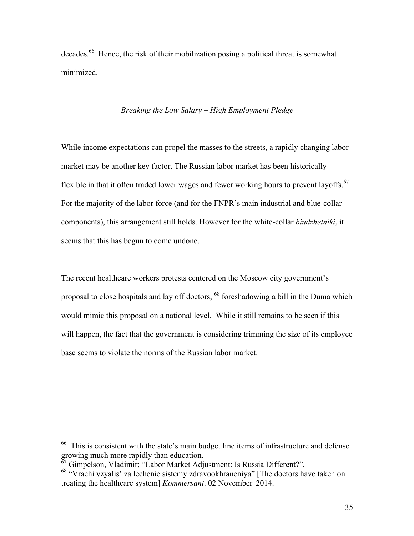decades.<sup>66</sup> Hence, the risk of their mobilization posing a political threat is somewhat minimized.

# *Breaking the Low Salary – High Employment Pledge*

While income expectations can propel the masses to the streets, a rapidly changing labor market may be another key factor. The Russian labor market has been historically flexible in that it often traded lower wages and fewer working hours to prevent layoffs.<sup>67</sup> For the majority of the labor force (and for the FNPR's main industrial and blue-collar components), this arrangement still holds. However for the white-collar *biudzhetniki*, it seems that this has begun to come undone.

The recent healthcare workers protests centered on the Moscow city government's proposal to close hospitals and lay off doctors, <sup>68</sup> foreshadowing a bill in the Duma which would mimic this proposal on a national level. While it still remains to be seen if this will happen, the fact that the government is considering trimming the size of its employee base seems to violate the norms of the Russian labor market.

 66 This is consistent with the state's main budget line items of infrastructure and defense growing much more rapidly than education.

<sup>67</sup> Gimpelson, Vladimir; "Labor Market Adjustment: Is Russia Different?",

<sup>68</sup> "Vrachi vzyalis' za lechenie sistemy zdravookhraneniya" [The doctors have taken on treating the healthcare system] *Kommersant*. 02 November 2014.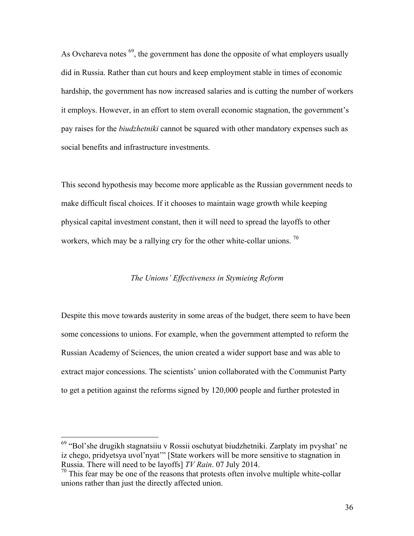As Ovchareva notes  $^{69}$ , the government has done the opposite of what employers usually did in Russia. Rather than cut hours and keep employment stable in times of economic hardship, the government has now increased salaries and is cutting the number of workers it employs. However, in an effort to stem overall economic stagnation, the government's pay raises for the *biudzhetniki* cannot be squared with other mandatory expenses such as social benefits and infrastructure investments.

This second hypothesis may become more applicable as the Russian government needs to make difficult fiscal choices. If it chooses to maintain wage growth while keeping physical capital investment constant, then it will need to spread the layoffs to other workers, which may be a rallying cry for the other white-collar unions.<sup>70</sup>

# *The Unions' Effectiveness in Stymieing Reform*

Despite this move towards austerity in some areas of the budget, there seem to have been some concessions to unions. For example, when the government attempted to reform the Russian Academy of Sciences, the union created a wider support base and was able to extract major concessions. The scientists' union collaborated with the Communist Party to get a petition against the reforms signed by 120,000 people and further protested in

 <sup>69</sup> "Bol'she drugikh stagnatsiiu v Rossii oschutyat biudzhetniki. Zarplaty im pvyshat' ne iz chego, pridyetsya uvol'nyat'" [State workers will be more sensitive to stagnation in Russia. There will need to be layoffs] *TV Rain*. 07 July 2014.

 $70$  This fear may be one of the reasons that protests often involve multiple white-collar unions rather than just the directly affected union.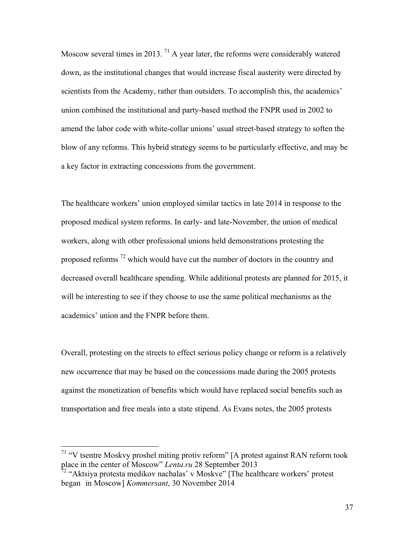Moscow several times in 2013. <sup>71</sup> A year later, the reforms were considerably watered down, as the institutional changes that would increase fiscal austerity were directed by scientists from the Academy, rather than outsiders. To accomplish this, the academics' union combined the institutional and party-based method the FNPR used in 2002 to amend the labor code with white-collar unions' usual street-based strategy to soften the blow of any reforms. This hybrid strategy seems to be particularly effective, and may be a key factor in extracting concessions from the government.

The healthcare workers' union employed similar tactics in late 2014 in response to the proposed medical system reforms. In early- and late-November, the union of medical workers, along with other professional unions held demonstrations protesting the proposed reforms<sup>72</sup> which would have cut the number of doctors in the country and decreased overall healthcare spending. While additional protests are planned for 2015, it will be interesting to see if they choose to use the same political mechanisms as the academics' union and the FNPR before them.

Overall, protesting on the streets to effect serious policy change or reform is a relatively new occurrence that may be based on the concessions made during the 2005 protests against the monetization of benefits which would have replaced social benefits such as transportation and free meals into a state stipend. As Evans notes, the 2005 protests

 <sup>71</sup> "V tsentre Moskvy proshel miting protiv reform" [A protest against RAN reform took place in the center of Moscow" *Lenta.ru* 28 September 2013

 $72$  "Aktsiya protesta medikov nachalas' v Moskve" [The healthcare workers' protest began in Moscow] *Kommersant*, 30 November 2014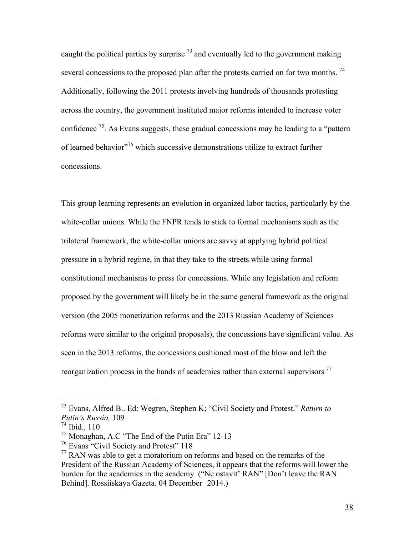caught the political parties by surprise  $^{73}$  and eventually led to the government making several concessions to the proposed plan after the protests carried on for two months.  $^{74}$ Additionally, following the 2011 protests involving hundreds of thousands protesting across the country, the government instituted major reforms intended to increase voter confidence  $^{75}$ . As Evans suggests, these gradual concessions may be leading to a "pattern" of learned behavior"<sup>76</sup> which successive demonstrations utilize to extract further concessions.

This group learning represents an evolution in organized labor tactics, particularly by the white-collar unions. While the FNPR tends to stick to formal mechanisms such as the trilateral framework, the white-collar unions are savvy at applying hybrid political pressure in a hybrid regime, in that they take to the streets while using formal constitutional mechanisms to press for concessions. While any legislation and reform proposed by the government will likely be in the same general framework as the original version (the 2005 monetization reforms and the 2013 Russian Academy of Sciences reforms were similar to the original proposals), the concessions have significant value. As seen in the 2013 reforms, the concessions cushioned most of the blow and left the reorganization process in the hands of academics rather than external supervisors  $<sup>77</sup>$ </sup>

 <sup>73</sup> Evans, Alfred B.. Ed: Wegren, Stephen K; "Civil Society and Protest." *Return to Putin's Russia,* 109

 $^{74}$  Ibid., 110

<sup>75</sup> Monaghan, A.C "The End of the Putin Era" 12-13

<sup>&</sup>lt;sup>76</sup> Evans "Civil Society and Protest" 118

 $77$  RAN was able to get a moratorium on reforms and based on the remarks of the President of the Russian Academy of Sciences, it appears that the reforms will lower the burden for the academics in the academy. ("Ne ostavit' RAN" [Don't leave the RAN Behind]. Rossiiskaya Gazeta. 04 December 2014.)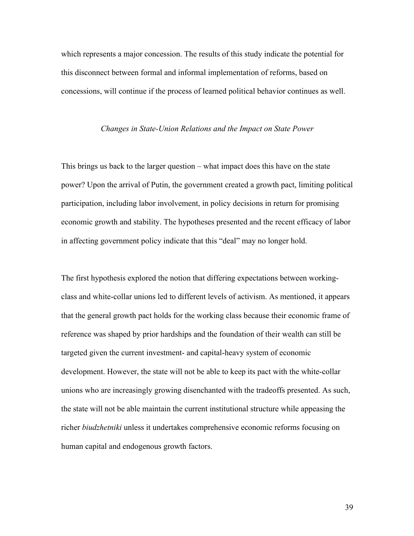which represents a major concession. The results of this study indicate the potential for this disconnect between formal and informal implementation of reforms, based on concessions, will continue if the process of learned political behavior continues as well.

#### *Changes in State-Union Relations and the Impact on State Power*

This brings us back to the larger question – what impact does this have on the state power? Upon the arrival of Putin, the government created a growth pact, limiting political participation, including labor involvement, in policy decisions in return for promising economic growth and stability. The hypotheses presented and the recent efficacy of labor in affecting government policy indicate that this "deal" may no longer hold.

The first hypothesis explored the notion that differing expectations between workingclass and white-collar unions led to different levels of activism. As mentioned, it appears that the general growth pact holds for the working class because their economic frame of reference was shaped by prior hardships and the foundation of their wealth can still be targeted given the current investment- and capital-heavy system of economic development. However, the state will not be able to keep its pact with the white-collar unions who are increasingly growing disenchanted with the tradeoffs presented. As such, the state will not be able maintain the current institutional structure while appeasing the richer *biudzhetniki* unless it undertakes comprehensive economic reforms focusing on human capital and endogenous growth factors.

39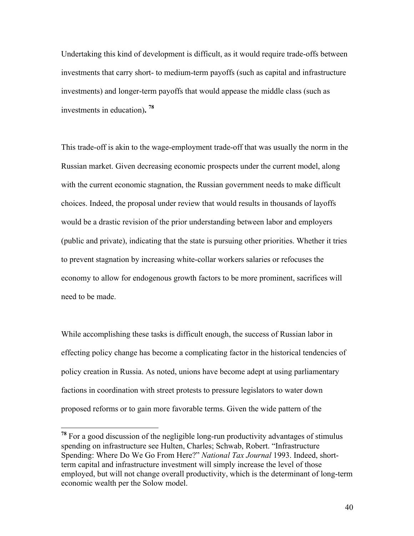Undertaking this kind of development is difficult, as it would require trade-offs between investments that carry short- to medium-term payoffs (such as capital and infrastructure investments) and longer-term payoffs that would appease the middle class (such as investments in education)**. <sup>78</sup>**

This trade-off is akin to the wage-employment trade-off that was usually the norm in the Russian market. Given decreasing economic prospects under the current model, along with the current economic stagnation, the Russian government needs to make difficult choices. Indeed, the proposal under review that would results in thousands of layoffs would be a drastic revision of the prior understanding between labor and employers (public and private), indicating that the state is pursuing other priorities. Whether it tries to prevent stagnation by increasing white-collar workers salaries or refocuses the economy to allow for endogenous growth factors to be more prominent, sacrifices will need to be made.

While accomplishing these tasks is difficult enough, the success of Russian labor in effecting policy change has become a complicating factor in the historical tendencies of policy creation in Russia. As noted, unions have become adept at using parliamentary factions in coordination with street protests to pressure legislators to water down proposed reforms or to gain more favorable terms. Given the wide pattern of the

 **<sup>78</sup>** For a good discussion of the negligible long-run productivity advantages of stimulus spending on infrastructure see Hulten, Charles; Schwab, Robert. "Infrastructure Spending: Where Do We Go From Here?" *National Tax Journal* 1993. Indeed, shortterm capital and infrastructure investment will simply increase the level of those employed, but will not change overall productivity, which is the determinant of long-term economic wealth per the Solow model.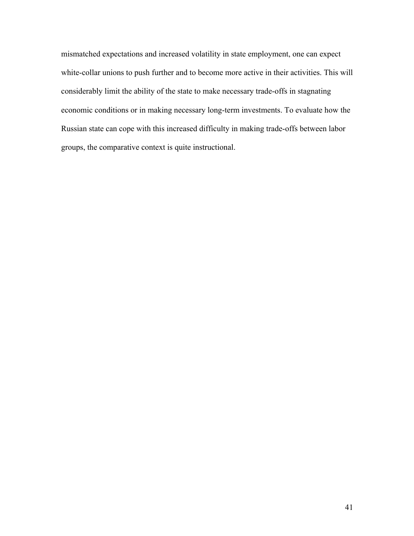mismatched expectations and increased volatility in state employment, one can expect white-collar unions to push further and to become more active in their activities. This will considerably limit the ability of the state to make necessary trade-offs in stagnating economic conditions or in making necessary long-term investments. To evaluate how the Russian state can cope with this increased difficulty in making trade-offs between labor groups, the comparative context is quite instructional.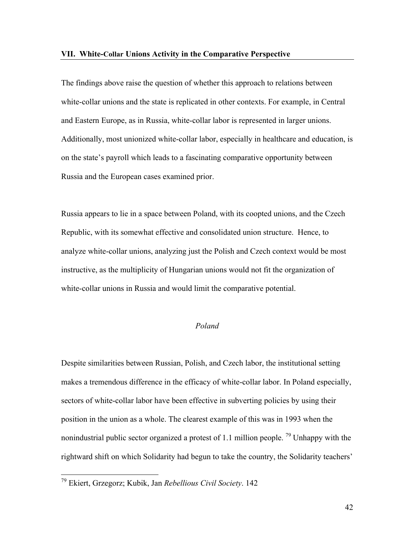The findings above raise the question of whether this approach to relations between white-collar unions and the state is replicated in other contexts. For example, in Central and Eastern Europe, as in Russia, white-collar labor is represented in larger unions. Additionally, most unionized white-collar labor, especially in healthcare and education, is on the state's payroll which leads to a fascinating comparative opportunity between Russia and the European cases examined prior.

Russia appears to lie in a space between Poland, with its coopted unions, and the Czech Republic, with its somewhat effective and consolidated union structure. Hence, to analyze white-collar unions, analyzing just the Polish and Czech context would be most instructive, as the multiplicity of Hungarian unions would not fit the organization of white-collar unions in Russia and would limit the comparative potential.

# *Poland*

Despite similarities between Russian, Polish, and Czech labor, the institutional setting makes a tremendous difference in the efficacy of white-collar labor. In Poland especially, sectors of white-collar labor have been effective in subverting policies by using their position in the union as a whole. The clearest example of this was in 1993 when the nonindustrial public sector organized a protest of 1.1 million people. <sup>79</sup> Unhappy with the rightward shift on which Solidarity had begun to take the country, the Solidarity teachers'

 <sup>79</sup> Ekiert, Grzegorz; Kubik, Jan *Rebellious Civil Society*. 142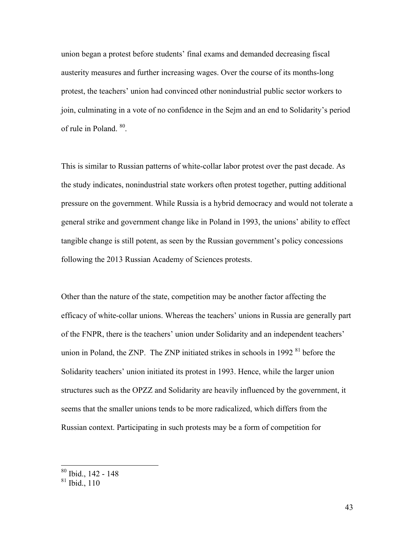union began a protest before students' final exams and demanded decreasing fiscal austerity measures and further increasing wages. Over the course of its months-long protest, the teachers' union had convinced other nonindustrial public sector workers to join, culminating in a vote of no confidence in the Sejm and an end to Solidarity's period of rule in Poland. 80.

This is similar to Russian patterns of white-collar labor protest over the past decade. As the study indicates, nonindustrial state workers often protest together, putting additional pressure on the government. While Russia is a hybrid democracy and would not tolerate a general strike and government change like in Poland in 1993, the unions' ability to effect tangible change is still potent, as seen by the Russian government's policy concessions following the 2013 Russian Academy of Sciences protests.

Other than the nature of the state, competition may be another factor affecting the efficacy of white-collar unions. Whereas the teachers' unions in Russia are generally part of the FNPR, there is the teachers' union under Solidarity and an independent teachers' union in Poland, the ZNP. The ZNP initiated strikes in schools in  $1992<sup>81</sup>$  before the Solidarity teachers' union initiated its protest in 1993. Hence, while the larger union structures such as the OPZZ and Solidarity are heavily influenced by the government, it seems that the smaller unions tends to be more radicalized, which differs from the Russian context. Participating in such protests may be a form of competition for

 <sup>80</sup> Ibid., 142 - <sup>148</sup>

 $81$  Ibid., 110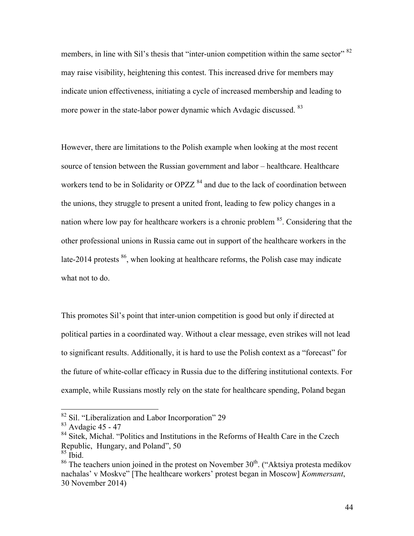members, in line with Sil's thesis that "inter-union competition within the same sector" <sup>82</sup> may raise visibility, heightening this contest. This increased drive for members may indicate union effectiveness, initiating a cycle of increased membership and leading to more power in the state-labor power dynamic which Avdagic discussed. <sup>83</sup>

However, there are limitations to the Polish example when looking at the most recent source of tension between the Russian government and labor – healthcare. Healthcare workers tend to be in Solidarity or OPZZ<sup>84</sup> and due to the lack of coordination between the unions, they struggle to present a united front, leading to few policy changes in a nation where low pay for healthcare workers is a chronic problem 85. Considering that the other professional unions in Russia came out in support of the healthcare workers in the late-2014 protests  $^{86}$ , when looking at healthcare reforms, the Polish case may indicate what not to do.

This promotes Sil's point that inter-union competition is good but only if directed at political parties in a coordinated way. Without a clear message, even strikes will not lead to significant results. Additionally, it is hard to use the Polish context as a "forecast" for the future of white-collar efficacy in Russia due to the differing institutional contexts. For example, while Russians mostly rely on the state for healthcare spending, Poland began

 $82$  Sil. "Liberalization and Labor Incorporation" 29

 $83$  Avdagic 45 - 47

<sup>&</sup>lt;sup>84</sup> Sitek, Michał. "Politics and Institutions in the Reforms of Health Care in the Czech Republic, Hungary, and Poland", 50

 $85$  Ibid.

 $86$  The teachers union joined in the protest on November  $30<sup>th</sup>$ . ("Aktsiya protesta medikov nachalas' v Moskve" [The healthcare workers' protest began in Moscow] *Kommersant*, 30 November 2014)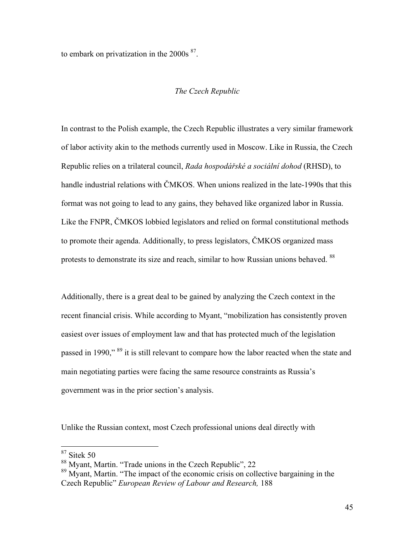to embark on privatization in the  $2000s<sup>87</sup>$ .

# *The Czech Republic*

In contrast to the Polish example, the Czech Republic illustrates a very similar framework of labor activity akin to the methods currently used in Moscow. Like in Russia, the Czech Republic relies on a trilateral council, *Rada hospodářské a sociální dohod* (RHSD), to handle industrial relations with ČMKOS. When unions realized in the late-1990s that this format was not going to lead to any gains, they behaved like organized labor in Russia. Like the FNPR, ČMKOS lobbied legislators and relied on formal constitutional methods to promote their agenda. Additionally, to press legislators, ČMKOS organized mass protests to demonstrate its size and reach, similar to how Russian unions behaved. <sup>88</sup>

Additionally, there is a great deal to be gained by analyzing the Czech context in the recent financial crisis. While according to Myant, "mobilization has consistently proven easiest over issues of employment law and that has protected much of the legislation passed in 1990," 89 it is still relevant to compare how the labor reacted when the state and main negotiating parties were facing the same resource constraints as Russia's government was in the prior section's analysis.

Unlike the Russian context, most Czech professional unions deal directly with

 <sup>87</sup> Sitek 50

<sup>88</sup> Myant, Martin. "Trade unions in the Czech Republic", 22

<sup>&</sup>lt;sup>89</sup> Myant, Martin. "The impact of the economic crisis on collective bargaining in the Czech Republic" *European Review of Labour and Research,* 188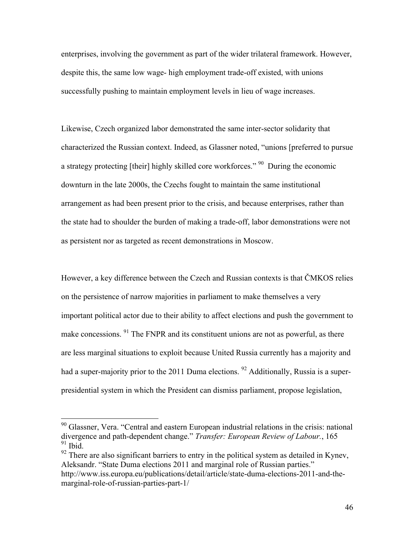enterprises, involving the government as part of the wider trilateral framework. However, despite this, the same low wage- high employment trade-off existed, with unions successfully pushing to maintain employment levels in lieu of wage increases.

Likewise, Czech organized labor demonstrated the same inter-sector solidarity that characterized the Russian context. Indeed, as Glassner noted, "unions [preferred to pursue a strategy protecting [their] highly skilled core workforces." 90 During the economic downturn in the late 2000s, the Czechs fought to maintain the same institutional arrangement as had been present prior to the crisis, and because enterprises, rather than the state had to shoulder the burden of making a trade-off, labor demonstrations were not as persistent nor as targeted as recent demonstrations in Moscow.

However, a key difference between the Czech and Russian contexts is that ČMKOS relies on the persistence of narrow majorities in parliament to make themselves a very important political actor due to their ability to affect elections and push the government to make concessions. <sup>91</sup> The FNPR and its constituent unions are not as powerful, as there are less marginal situations to exploit because United Russia currently has a majority and had a super-majority prior to the 2011 Duma elections. <sup>92</sup> Additionally, Russia is a superpresidential system in which the President can dismiss parliament, propose legislation,

 $92$  There are also significant barriers to entry in the political system as detailed in Kynev, Aleksandr. "State Duma elections 2011 and marginal role of Russian parties." http://www.iss.europa.eu/publications/detail/article/state-duma-elections-2011-and-themarginal-role-of-russian-parties-part-1/

<sup>&</sup>lt;sup>90</sup> Glassner, Vera. "Central and eastern European industrial relations in the crisis: national divergence and path-dependent change." *Transfer: European Review of Labour.*, 165  $91$  Ibid.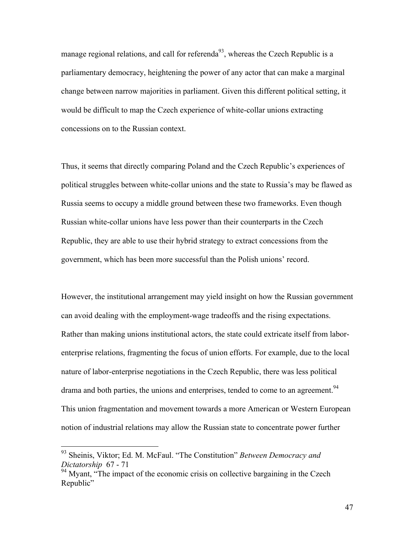manage regional relations, and call for referenda<sup>93</sup>, whereas the Czech Republic is a parliamentary democracy, heightening the power of any actor that can make a marginal change between narrow majorities in parliament. Given this different political setting, it would be difficult to map the Czech experience of white-collar unions extracting concessions on to the Russian context.

Thus, it seems that directly comparing Poland and the Czech Republic's experiences of political struggles between white-collar unions and the state to Russia's may be flawed as Russia seems to occupy a middle ground between these two frameworks. Even though Russian white-collar unions have less power than their counterparts in the Czech Republic, they are able to use their hybrid strategy to extract concessions from the government, which has been more successful than the Polish unions' record.

However, the institutional arrangement may yield insight on how the Russian government can avoid dealing with the employment-wage tradeoffs and the rising expectations. Rather than making unions institutional actors, the state could extricate itself from laborenterprise relations, fragmenting the focus of union efforts. For example, due to the local nature of labor-enterprise negotiations in the Czech Republic, there was less political drama and both parties, the unions and enterprises, tended to come to an agreement.<sup>94</sup> This union fragmentation and movement towards a more American or Western European notion of industrial relations may allow the Russian state to concentrate power further

 <sup>93</sup> Sheinis, Viktor; Ed. M. McFaul. "The Constitution" *Between Democracy and Dictatorship* 67 - 71

<sup>&</sup>lt;sup>94</sup> Myant, "The impact of the economic crisis on collective bargaining in the Czech Republic"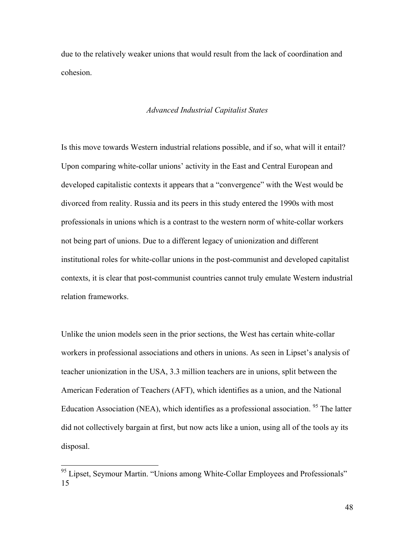due to the relatively weaker unions that would result from the lack of coordination and cohesion.

### *Advanced Industrial Capitalist States*

Is this move towards Western industrial relations possible, and if so, what will it entail? Upon comparing white-collar unions' activity in the East and Central European and developed capitalistic contexts it appears that a "convergence" with the West would be divorced from reality. Russia and its peers in this study entered the 1990s with most professionals in unions which is a contrast to the western norm of white-collar workers not being part of unions. Due to a different legacy of unionization and different institutional roles for white-collar unions in the post-communist and developed capitalist contexts, it is clear that post-communist countries cannot truly emulate Western industrial relation frameworks.

Unlike the union models seen in the prior sections, the West has certain white-collar workers in professional associations and others in unions. As seen in Lipset's analysis of teacher unionization in the USA, 3.3 million teachers are in unions, split between the American Federation of Teachers (AFT), which identifies as a union, and the National Education Association (NEA), which identifies as a professional association.<sup>95</sup> The latter did not collectively bargain at first, but now acts like a union, using all of the tools ay its disposal.

<sup>&</sup>lt;sup>95</sup> Lipset, Seymour Martin. "Unions among White-Collar Employees and Professionals" 15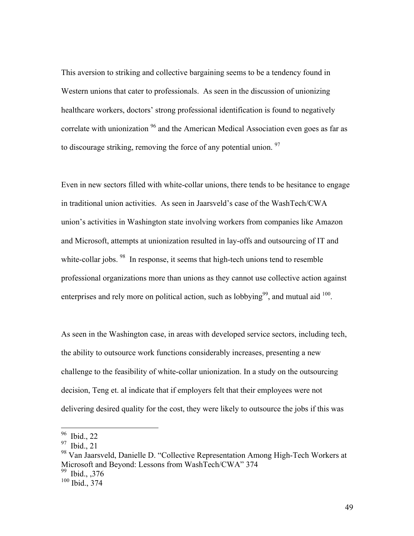This aversion to striking and collective bargaining seems to be a tendency found in Western unions that cater to professionals. As seen in the discussion of unionizing healthcare workers, doctors' strong professional identification is found to negatively correlate with unionization <sup>96</sup> and the American Medical Association even goes as far as to discourage striking, removing the force of any potential union.  $97$ 

Even in new sectors filled with white-collar unions, there tends to be hesitance to engage in traditional union activities. As seen in Jaarsveld's case of the WashTech/CWA union's activities in Washington state involving workers from companies like Amazon and Microsoft, attempts at unionization resulted in lay-offs and outsourcing of IT and white-collar jobs. <sup>98</sup> In response, it seems that high-tech unions tend to resemble professional organizations more than unions as they cannot use collective action against enterprises and rely more on political action, such as lobbying<sup>99</sup>, and mutual aid  $100$ .

As seen in the Washington case, in areas with developed service sectors, including tech, the ability to outsource work functions considerably increases, presenting a new challenge to the feasibility of white-collar unionization. In a study on the outsourcing decision, Teng et. al indicate that if employers felt that their employees were not delivering desired quality for the cost, they were likely to outsource the jobs if this was

 <sup>96</sup> Ibid., 22

<sup>97</sup> Ibid., 21

<sup>&</sup>lt;sup>98</sup> Van Jaarsveld, Danielle D. "Collective Representation Among High-Tech Workers at Microsoft and Beyond: Lessons from WashTech/CWA" 374 <sup>99</sup> Ibid., ,376

 $100$  Ibid., 374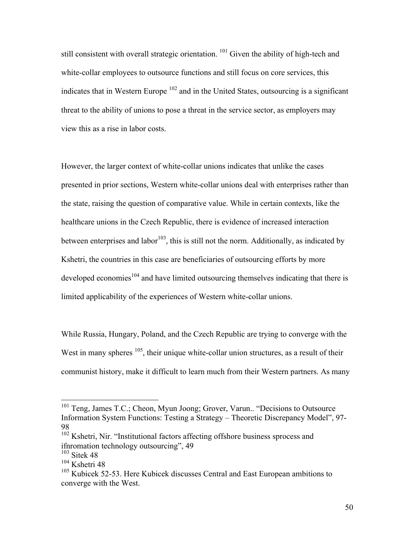still consistent with overall strategic orientation.<sup>101</sup> Given the ability of high-tech and white-collar employees to outsource functions and still focus on core services, this indicates that in Western Europe  $102$  and in the United States, outsourcing is a significant threat to the ability of unions to pose a threat in the service sector, as employers may view this as a rise in labor costs.

However, the larger context of white-collar unions indicates that unlike the cases presented in prior sections, Western white-collar unions deal with enterprises rather than the state, raising the question of comparative value. While in certain contexts, like the healthcare unions in the Czech Republic, there is evidence of increased interaction between enterprises and labor<sup>103</sup>, this is still not the norm. Additionally, as indicated by Kshetri, the countries in this case are beneficiaries of outsourcing efforts by more developed economies<sup>104</sup> and have limited outsourcing themselves indicating that there is limited applicability of the experiences of Western white-collar unions.

While Russia, Hungary, Poland, and the Czech Republic are trying to converge with the West in many spheres  $105$ , their unique white-collar union structures, as a result of their communist history, make it difficult to learn much from their Western partners. As many

<sup>&</sup>lt;sup>101</sup> Teng, James T.C.; Cheon, Myun Joong; Grover, Varun.. "Decisions to Outsource Information System Functions: Testing a Strategy – Theoretic Discrepancy Model", 97- 98

<sup>&</sup>lt;sup>102</sup> Kshetri, Nir. "Institutional factors affecting offshore business sprocess and ifnromation technology outsourcing", 49

<sup>103</sup> Sitek 48

<sup>&</sup>lt;sup>104</sup> Kshetri 48

<sup>&</sup>lt;sup>105</sup> Kubicek 52-53. Here Kubicek discusses Central and East European ambitions to converge with the West.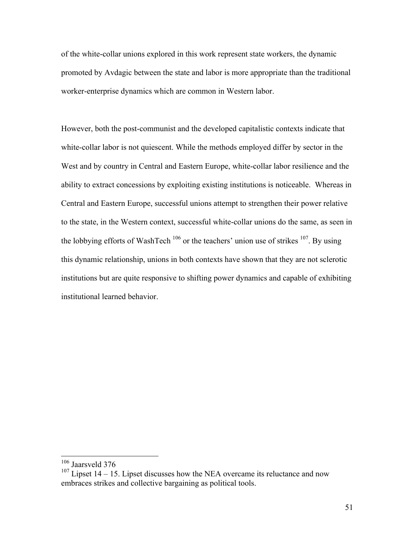of the white-collar unions explored in this work represent state workers, the dynamic promoted by Avdagic between the state and labor is more appropriate than the traditional worker-enterprise dynamics which are common in Western labor.

However, both the post-communist and the developed capitalistic contexts indicate that white-collar labor is not quiescent. While the methods employed differ by sector in the West and by country in Central and Eastern Europe, white-collar labor resilience and the ability to extract concessions by exploiting existing institutions is noticeable. Whereas in Central and Eastern Europe, successful unions attempt to strengthen their power relative to the state, in the Western context, successful white-collar unions do the same, as seen in the lobbying efforts of WashTech  $106$  or the teachers' union use of strikes  $107$ . By using this dynamic relationship, unions in both contexts have shown that they are not sclerotic institutions but are quite responsive to shifting power dynamics and capable of exhibiting institutional learned behavior.

 <sup>106</sup> Jaarsveld 376

 $107$  Lipset 14 – 15. Lipset discusses how the NEA overcame its reluctance and now embraces strikes and collective bargaining as political tools.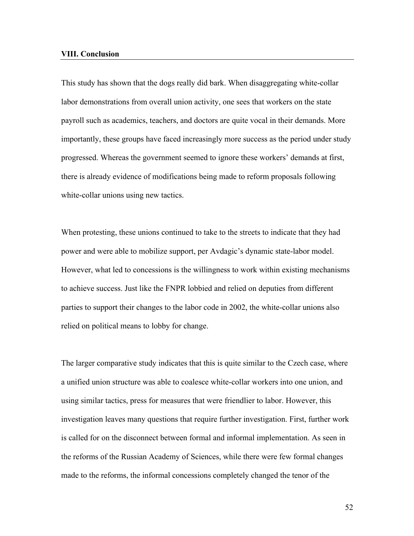#### **VIII. Conclusion**

This study has shown that the dogs really did bark. When disaggregating white-collar labor demonstrations from overall union activity, one sees that workers on the state payroll such as academics, teachers, and doctors are quite vocal in their demands. More importantly, these groups have faced increasingly more success as the period under study progressed. Whereas the government seemed to ignore these workers' demands at first, there is already evidence of modifications being made to reform proposals following white-collar unions using new tactics.

When protesting, these unions continued to take to the streets to indicate that they had power and were able to mobilize support, per Avdagic's dynamic state-labor model. However, what led to concessions is the willingness to work within existing mechanisms to achieve success. Just like the FNPR lobbied and relied on deputies from different parties to support their changes to the labor code in 2002, the white-collar unions also relied on political means to lobby for change.

The larger comparative study indicates that this is quite similar to the Czech case, where a unified union structure was able to coalesce white-collar workers into one union, and using similar tactics, press for measures that were friendlier to labor. However, this investigation leaves many questions that require further investigation. First, further work is called for on the disconnect between formal and informal implementation. As seen in the reforms of the Russian Academy of Sciences, while there were few formal changes made to the reforms, the informal concessions completely changed the tenor of the

52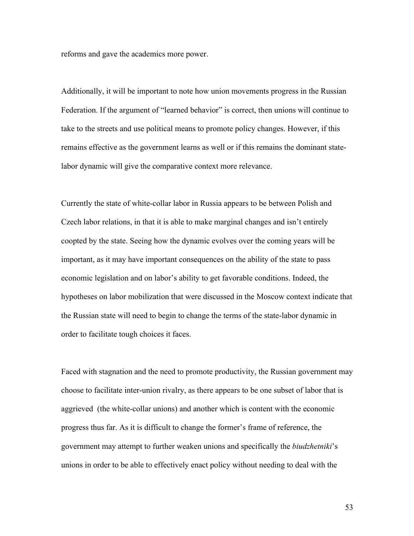reforms and gave the academics more power.

Additionally, it will be important to note how union movements progress in the Russian Federation. If the argument of "learned behavior" is correct, then unions will continue to take to the streets and use political means to promote policy changes. However, if this remains effective as the government learns as well or if this remains the dominant statelabor dynamic will give the comparative context more relevance.

Currently the state of white-collar labor in Russia appears to be between Polish and Czech labor relations, in that it is able to make marginal changes and isn't entirely coopted by the state. Seeing how the dynamic evolves over the coming years will be important, as it may have important consequences on the ability of the state to pass economic legislation and on labor's ability to get favorable conditions. Indeed, the hypotheses on labor mobilization that were discussed in the Moscow context indicate that the Russian state will need to begin to change the terms of the state-labor dynamic in order to facilitate tough choices it faces.

Faced with stagnation and the need to promote productivity, the Russian government may choose to facilitate inter-union rivalry, as there appears to be one subset of labor that is aggrieved (the white-collar unions) and another which is content with the economic progress thus far. As it is difficult to change the former's frame of reference, the government may attempt to further weaken unions and specifically the *biudzhetniki*'s unions in order to be able to effectively enact policy without needing to deal with the

53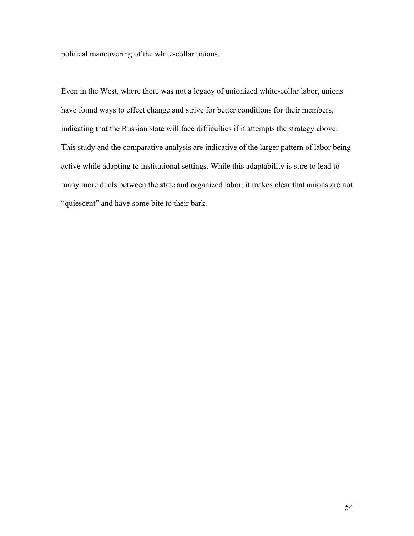political maneuvering of the white-collar unions.

Even in the West, where there was not a legacy of unionized white-collar labor, unions have found ways to effect change and strive for better conditions for their members, indicating that the Russian state will face difficulties if it attempts the strategy above. This study and the comparative analysis are indicative of the larger pattern of labor being active while adapting to institutional settings. While this adaptability is sure to lead to many more duels between the state and organized labor, it makes clear that unions are not "quiescent" and have some bite to their bark.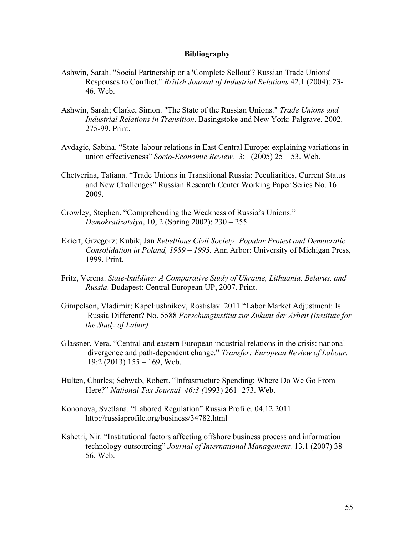## **Bibliography**

- Ashwin, Sarah. "Social Partnership or a 'Complete Sellout'? Russian Trade Unions' Responses to Conflict." *British Journal of Industrial Relations* 42.1 (2004): 23- 46. Web.
- Ashwin, Sarah; Clarke, Simon. "The State of the Russian Unions." *Trade Unions and Industrial Relations in Transition*. Basingstoke and New York: Palgrave, 2002. 275-99. Print.
- Avdagic, Sabina. "State-labour relations in East Central Europe: explaining variations in union effectiveness" *Socio-Economic Review.* 3:1 (2005) 25 – 53. Web.
- Chetverina, Tatiana. "Trade Unions in Transitional Russia: Peculiarities, Current Status and New Challenges" Russian Research Center Working Paper Series No. 16 2009.
- Crowley, Stephen. "Comprehending the Weakness of Russia's Unions." *Demokratizatsiya*, 10, 2 (Spring 2002): 230 – 255
- Ekiert, Grzegorz; Kubik, Jan *Rebellious Civil Society: Popular Protest and Democratic Consolidation in Poland, 1989 – 1993.* Ann Arbor: University of Michigan Press, 1999. Print.
- Fritz, Verena. *State-building: A Comparative Study of Ukraine, Lithuania, Belarus, and Russia*. Budapest: Central European UP, 2007. Print.
- Gimpelson, Vladimir; Kapeliushnikov, Rostislav. 2011 "Labor Market Adjustment: Is Russia Different? No. 5588 *Forschunginstitut zur Zukunt der Arbeit (Institute for the Study of Labor)*
- Glassner, Vera. "Central and eastern European industrial relations in the crisis: national divergence and path-dependent change." *Transfer: European Review of Labour.*  19:2 (2013) 155 – 169, Web.
- Hulten, Charles; Schwab, Robert. "Infrastructure Spending: Where Do We Go From Here?" *National Tax Journal 46:3 (*1993) 261 -273. Web.
- Kononova, Svetlana. "Labored Regulation" Russia Profile. 04.12.2011 http://russiaprofile.org/business/34782.html
- Kshetri, Nir. "Institutional factors affecting offshore business process and information technology outsourcing" *Journal of International Management.* 13.1 (2007) 38 – 56. Web.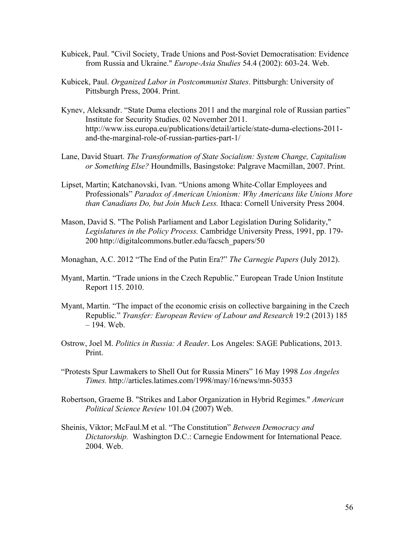- Kubicek, Paul. "Civil Society, Trade Unions and Post-Soviet Democratisation: Evidence from Russia and Ukraine." *Europe-Asia Studies* 54.4 (2002): 603-24. Web.
- Kubicek, Paul. *Organized Labor in Postcommunist States*. Pittsburgh: University of Pittsburgh Press, 2004. Print.
- Kynev, Aleksandr. "State Duma elections 2011 and the marginal role of Russian parties" Institute for Security Studies. 02 November 2011. http://www.iss.europa.eu/publications/detail/article/state-duma-elections-2011 and-the-marginal-role-of-russian-parties-part-1/
- Lane, David Stuart. *The Transformation of State Socialism: System Change, Capitalism or Something Else?* Houndmills, Basingstoke: Palgrave Macmillan, 2007. Print.
- Lipset, Martin; Katchanovski, Ivan. "Unions among White-Collar Employees and Professionals" *Paradox of American Unionism: Why Americans like Unions More than Canadians Do, but Join Much Less.* Ithaca: Cornell University Press 2004.
- Mason, David S. "The Polish Parliament and Labor Legislation During Solidarity," *Legislatures in the Policy Process.* Cambridge University Press, 1991, pp. 179- 200 http://digitalcommons.butler.edu/facsch\_papers/50

Monaghan, A.C. 2012 "The End of the Putin Era?" *The Carnegie Papers* (July 2012).

- Myant, Martin. "Trade unions in the Czech Republic." European Trade Union Institute Report 115. 2010.
- Myant, Martin. "The impact of the economic crisis on collective bargaining in the Czech Republic." *Transfer: European Review of Labour and Research* 19:2 (2013) 185 – 194. Web.
- Ostrow, Joel M. *Politics in Russia: A Reader*. Los Angeles: SAGE Publications, 2013. Print.
- "Protests Spur Lawmakers to Shell Out for Russia Miners" 16 May 1998 *Los Angeles Times.* http://articles.latimes.com/1998/may/16/news/mn-50353
- Robertson, Graeme B. "Strikes and Labor Organization in Hybrid Regimes." *American Political Science Review* 101.04 (2007) Web.
- Sheinis, Viktor; McFaul.M et al. "The Constitution" *Between Democracy and Dictatorship.* Washington D.C.: Carnegie Endowment for International Peace. 2004. Web.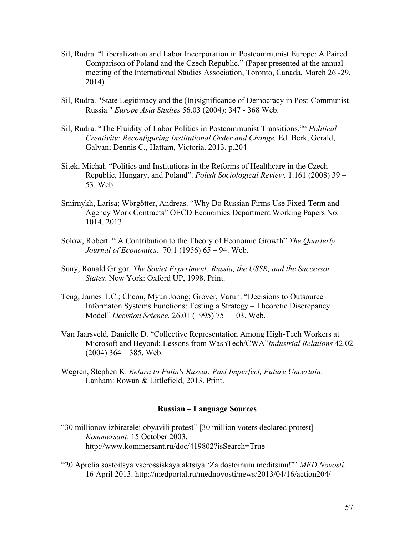- Sil, Rudra. "Liberalization and Labor Incorporation in Postcommunist Europe: A Paired Comparison of Poland and the Czech Republic." (Paper presented at the annual meeting of the International Studies Association, Toronto, Canada, March 26 -29, 2014)
- Sil, Rudra. "State Legitimacy and the (In)significance of Democracy in Post-Communist Russia." *Europe Asia Studies* 56.03 (2004): 347 - 368 Web.
- Sil, Rudra. "The Fluidity of Labor Politics in Postcommunist Transitions."" *Political Creativity: Reconfiguring Institutional Order and Change.* Ed. Berk, Gerald, Galvan; Dennis C., Hattam, Victoria. 2013. p.204
- Sitek, Michał. "Politics and Institutions in the Reforms of Healthcare in the Czech Republic, Hungary, and Poland". *Polish Sociological Review.* 1.161 (2008) 39 – 53. Web.
- Smirnykh, Larisa; Wörgötter, Andreas. "Why Do Russian Firms Use Fixed-Term and Agency Work Contracts" OECD Economics Department Working Papers No. 1014. 2013.
- Solow, Robert. " A Contribution to the Theory of Economic Growth" *The Quarterly Journal of Economics.* 70:1 (1956) 65 – 94. Web.
- Suny, Ronald Grigor. *The Soviet Experiment: Russia, the USSR, and the Successor States*. New York: Oxford UP, 1998. Print.
- Teng, James T.C.; Cheon, Myun Joong; Grover, Varun. "Decisions to Outsource Informaton Systems Functions: Testing a Strategy – Theoretic Discrepancy Model" *Decision Science.* 26.01 (1995) 75 – 103. Web.
- Van Jaarsveld, Danielle D. "Collective Representation Among High-Tech Workers at Microsoft and Beyond: Lessons from WashTech/CWA"*Industrial Relations* 42.02  $(2004)$  364 – 385. Web.
- Wegren, Stephen K. *Return to Putin's Russia: Past Imperfect, Future Uncertain*. Lanham: Rowan & Littlefield, 2013. Print.

# **Russian – Language Sources**

- "30 millionov izbiratelei obyavili protest" [30 million voters declared protest] *Kommersant*. 15 October 2003. http://www.kommersant.ru/doc/419802?isSearch=True
- "20 Aprelia sostoitsya vserossiskaya aktsiya 'Za dostoinuiu meditsinu!"' *MED.Novosti*. 16 April 2013. http://medportal.ru/mednovosti/news/2013/04/16/action204/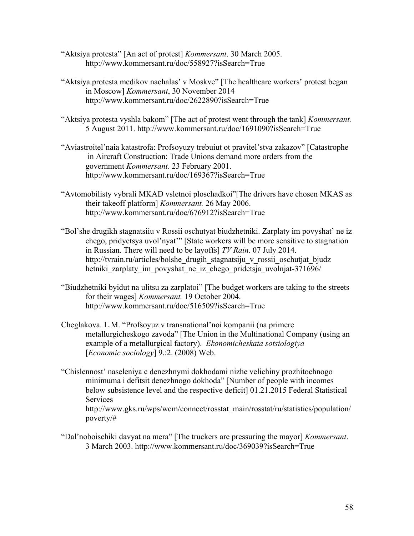- "Aktsiya protesta" [An act of protest] *Kommersant*. 30 March 2005. http://www.kommersant.ru/doc/558927?isSearch=True
- "Aktsiya protesta medikov nachalas' v Moskve" [The healthcare workers' protest began in Moscow] *Kommersant*, 30 November 2014 http://www.kommersant.ru/doc/2622890?isSearch=True
- "Aktsiya protesta vyshla bakom" [The act of protest went through the tank] *Kommersant.*  5 August 2011. http://www.kommersant.ru/doc/1691090?isSearch=True
- "Aviastroitel'naia katastrofa: Profsoyuzy trebuiut ot pravitel'stva zakazov" [Catastrophe in Aircraft Construction: Trade Unions demand more orders from the government *Kommersant*. 23 February 2001. http://www.kommersant.ru/doc/169367?isSearch=True
- "Avtomobilisty vybrali MKAD vsletnoi ploschadkoi"[The drivers have chosen MKAS as their takeoff platform] *Kommersant.* 26 May 2006. http://www.kommersant.ru/doc/676912?isSearch=True
- "Bol'she drugikh stagnatsiiu v Rossii oschutyat biudzhetniki. Zarplaty im povyshat' ne iz chego, pridyetsya uvol'nyat'" [State workers will be more sensitive to stagnation in Russian. There will need to be layoffs] *TV Rain*. 07 July 2014. http://tvrain.ru/articles/bolshe\_drugih\_stagnatsiju\_v\_rossii\_oschutjat\_bjudz hetniki zarplaty im povyshat ne iz chego pridetsja uvolnjat-371696/
- "Biudzhetniki byidut na ulitsu za zarplatoi" [The budget workers are taking to the streets for their wages] *Kommersant.* 19 October 2004. http://www.kommersant.ru/doc/516509?isSearch=True
- Cheglakova. L.M. "Profsoyuz v transnational'noi kompanii (na primere metallurgicheskogo zavoda" [The Union in the Multinational Company (using an example of a metallurgical factory). *Ekonomicheskata sotsiologiya* [*Economic sociology*] 9.:2. (2008) Web.
- "Chislennost' naseleniya c denezhnymi dokhodami nizhe velichiny prozhitochnogo minimuma i defitsit denezhnogo dokhoda" [Number of people with incomes below subsistence level and the respective deficit] 01.21.2015 Federal Statistical Services http://www.gks.ru/wps/wcm/connect/rosstat\_main/rosstat/ru/statistics/population/ poverty/#
- "Dal'noboischiki davyat na mera" [The truckers are pressuring the mayor] *Kommersant*. 3 March 2003. http://www.kommersant.ru/doc/369039?isSearch=True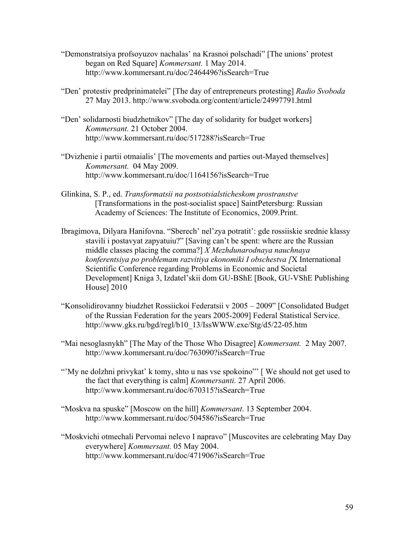- "Demonstratsiya profsoyuzov nachalas' na Krasnoi polschadi" [The unions' protest began on Red Square] *Kommersant.* 1 May 2014. http://www.kommersant.ru/doc/2464496?isSearch=True
- "Den' protestiv predprinimatelei" [The day of entrepreneurs protesting] *Radio Svoboda*  27 May 2013. http://www.svoboda.org/content/article/24997791.html
- "Den' solidarnosti biudzhetnikov" [The day of solidarity for budget workers] *Kommersant.* 21 October 2004. http://www.kommersant.ru/doc/517288?isSearch=True
- "Dvizhenie i partii otmaialis' [The movements and parties out-Mayed themselves] *Kommersant.* 04 May 2009. http://www.kommersant.ru/doc/1164156?isSearch=True
- Glinkina, S. P., ed. *Transformatsii na postsotsialsticheskom prostranstve* [Transformations in the post-socialist space] SaintPetersburg: Russian Academy of Sciences: The Institute of Economics, 2009.Print.
- Ibragimova, Dilyara Hanifovna. "Sberech' nel'zya potratit': gde rossiiskie srednie klassy stavili i postavyat zapyatuiu?" [Saving can't be spent: where are the Russian middle classes placing the comma?] *X Mezhdunarodnaya nauchnaya konferentsiya po problemam razvitiya ekonomiki I obschestva [*X International Scientific Conference regarding Problems in Economic and Societal Development] Kniga 3, Izdatel'skii dom GU-BShE [Book, GU-VShE Publishing House] 2010
- "Konsolidirovanny biudzhet Rossiickoi Federatsii v 2005 2009" [Consolidated Budget of the Russian Federation for the years 2005-2009] Federal Statistical Service. http://www.gks.ru/bgd/regl/b10\_13/IssWWW.exe/Stg/d5/22-05.htm
- "Mai nesoglasnykh" [The May of the Those Who Disagree] *Kommersant.* 2 May 2007. http://www.kommersant.ru/doc/763090?isSearch=True
- "My ne dolzhni privykat' k tomy, shto u nas vse spokoino"' [We should not get used to the fact that everything is calm] *Kommersanti.* 27 April 2006. http://www.kommersant.ru/doc/670315?isSearch=True
- "Moskva na spuske" [Moscow on the hill] *Kommersant*. 13 September 2004. http://www.kommersant.ru/doc/504586?isSearch=True
- "Moskvichi otmechali Pervomai nelevo I napravo" [Muscovites are celebrating May Day everywhere] *Kommersant.* 05 May 2004. http://www.kommersant.ru/doc/471906?isSearch=True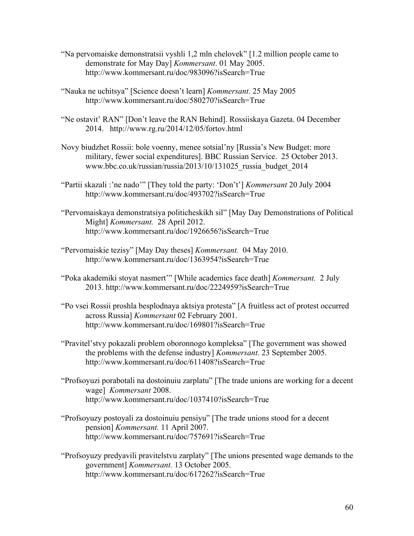- "Na pervomaiske demonstratsii vyshli 1,2 mln chelovek" [1.2 million people came to demonstrate for May Day] *Kommersant*. 01 May 2005. http://www.kommersant.ru/doc/983096?isSearch=True
- "Nauka ne uchitsya" [Science doesn't learn] *Kommersant.* 25 May 2005 http://www.kommersant.ru/doc/580270?isSearch=True
- "Ne ostavit' RAN" [Don't leave the RAN Behind]. Rossiiskaya Gazeta. 04 December 2014. http://www.rg.ru/2014/12/05/fortov.html
- Novy biudzhet Rossii: bole voenny, menee sotsial'ny [Russia's New Budget: more military, fewer social expenditures]. BBC Russian Service. 25 October 2013. www.bbc.co.uk/russian/russia/2013/10/131025\_russia\_budget\_2014
- "Partii skazali :'ne nado'" [They told the party: 'Don't'] *Kommersant* 20 July 2004 http://www.kommersant.ru/doc/493702?isSearch=True
- "Pervomaiskaya demonstratsiya politicheskikh sil" [May Day Demonstrations of Political Might] *Kommersant.* 28 April 2012. http://www.kommersant.ru/doc/1926656?isSearch=True
- "Pervomaiskie tezisy" [May Day theses] *Kommersant.* 04 May 2010. http://www.kommersant.ru/doc/1363954?isSearch=True
- "Poka akademiki stoyat nasmert'" [While academics face death] *Kommersant.* 2 July 2013. http://www.kommersant.ru/doc/2224959?isSearch=True
- "Po vsei Rossii proshla besplodnaya aktsiya protesta" [A fruitless act of protest occurred across Russia] *Kommersant* 02 February 2001. http://www.kommersant.ru/doc/169801?isSearch=True
- "Pravitel'stvy pokazali problem oboronnogo kompleksa" [The government was showed the problems with the defense industry] *Kommersant*. 23 September 2005. http://www.kommersant.ru/doc/611408?isSearch=True
- "Profsoyuzi porabotali na dostoinuiu zarplatu" [The trade unions are working for a decent wage] *Kommersant* 2008. http://www.kommersant.ru/doc/1037410?isSearch=True
- "Profsoyuzy postoyali za dostoinuiu pensiyu" [The trade unions stood for a decent pension] *Kommersant.* 11 April 2007. http://www.kommersant.ru/doc/757691?isSearch=True
- "Profsoyuzy predyavili pravitelstvu zarplaty" [The unions presented wage demands to the government] *Kommersant.* 13 October 2005. http://www.kommersant.ru/doc/617262?isSearch=True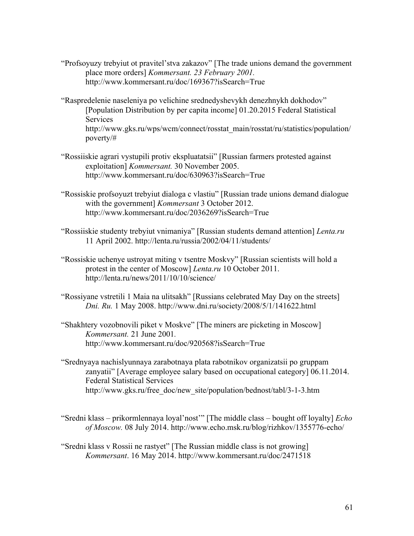- "Profsoyuzy trebyiut ot pravitel'stva zakazov" [The trade unions demand the government place more orders] *Kommersant. 23 February 2001.*  http://www.kommersant.ru/doc/169367?isSearch=True
- "Raspredelenie naseleniya po velichine srednedyshevykh denezhnykh dokhodov" [Population Distribution by per capita income] 01.20.2015 Federal Statistical Services http://www.gks.ru/wps/wcm/connect/rosstat\_main/rosstat/ru/statistics/population/ poverty/#
- "Rossiiskie agrari vystupili protiv ekspluatatsii" [Russian farmers protested against exploitation] *Kommersant.* 30 November 2005. http://www.kommersant.ru/doc/630963?isSearch=True
- "Rossiskie profsoyuzt trebyiut dialoga c vlastiu" [Russian trade unions demand dialogue with the government] *Kommersant* 3 October 2012. http://www.kommersant.ru/doc/2036269?isSearch=True
- "Rossiiskie studenty trebyiut vnimaniya" [Russian students demand attention] *Lenta.ru*  11 April 2002. http://lenta.ru/russia/2002/04/11/students/
- "Rossiskie uchenye ustroyat miting v tsentre Moskvy" [Russian scientists will hold a protest in the center of Moscow] *Lenta.ru* 10 October 2011. http://lenta.ru/news/2011/10/10/science/
- "Rossiyane vstretili 1 Maia na ulitsakh" [Russians celebrated May Day on the streets] *Dni. Ru.* 1 May 2008. http://www.dni.ru/society/2008/5/1/141622.html
- "Shakhtery vozobnovili piket v Moskve" [The miners are picketing in Moscow] *Kommersant.* 21 June 2001*.*  http://www.kommersant.ru/doc/920568?isSearch=True
- "Srednyaya nachislyunnaya zarabotnaya plata rabotnikov organizatsii po gruppam zanyatii" [Average employee salary based on occupational category] 06.11.2014. Federal Statistical Services http://www.gks.ru/free\_doc/new\_site/population/bednost/tabl/3-1-3.htm
- "Sredni klass prikormlennaya loyal'nost'" [The middle class bought off loyalty] *Echo of Moscow.* 08 July 2014. http://www.echo.msk.ru/blog/rizhkov/1355776-echo/
- "Sredni klass v Rossii ne rastyet" [The Russian middle class is not growing] *Kommersant*. 16 May 2014. http://www.kommersant.ru/doc/2471518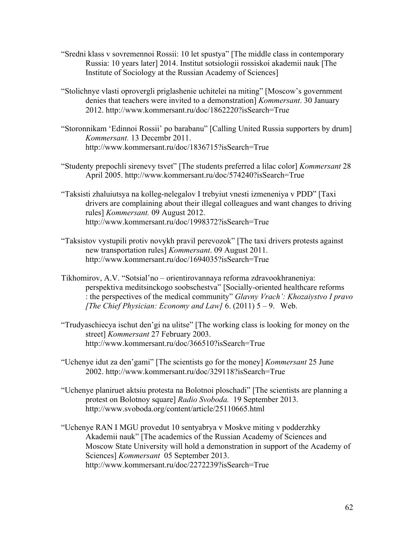- "Sredni klass v sovremennoi Rossii: 10 let spustya" [The middle class in contemporary Russia: 10 years later] 2014. Institut sotsiologii rossiskoi akademii nauk [The Institute of Sociology at the Russian Academy of Sciences]
- "Stolichnye vlasti oprovergli priglashenie uchitelei na miting" [Moscow's government denies that teachers were invited to a demonstration] *Kommersant*. 30 January 2012. http://www.kommersant.ru/doc/1862220?isSearch=True
- "Storonnikam 'Edinnoi Rossii' po barabanu" [Calling United Russia supporters by drum] *Kommersant.* 13 Decembr 2011. http://www.kommersant.ru/doc/1836715?isSearch=True
- "Studenty prepochli sirenevy tsvet" [The students preferred a lilac color] *Kommersant* 28 April 2005. http://www.kommersant.ru/doc/574240?isSearch=True
- "Taksisti zhaluiutsya na kolleg-nelegalov I trebyiut vnesti izmeneniya v PDD" [Taxi drivers are complaining about their illegal colleagues and want changes to driving rules] *Kommersant.* 09 August 2012. http://www.kommersant.ru/doc/1998372?isSearch=True
- "Taksistov vystupili protiv novykh pravil perevozok" [The taxi drivers protests against new transportation rules] *Kommersant*. 09 August 2011. http://www.kommersant.ru/doc/1694035?isSearch=True
- Tikhomirov, А.V. "Sotsial'no orientirovannaya reforma zdravookhraneniya: perspektiva meditsinckogo soobschestva" [Socially-oriented healthcare reforms : the perspectives of the medical community" *Glavny Vrach': Khozaiystvo I pravo [The Chief Physician: Economy and Law]* 6. (2011) 5 – 9. Web.
- "Trudyaschiecya ischut den'gi na ulitse" [The working class is looking for money on the street] *Kommersant* 27 February 2003. http://www.kommersant.ru/doc/366510?isSearch=True
- "Uchenye idut za den'gami" [The scientists go for the money] *Kommersant* 25 June 2002. http://www.kommersant.ru/doc/329118?isSearch=True
- "Uchenye planiruet aktsiu protesta na Bolotnoi ploschadi" [The scientists are planning a protest on Bolotnoy square] *Radio Svoboda.* 19 September 2013. http://www.svoboda.org/content/article/25110665.html
- "Uchenye RAN I MGU provedut 10 sentyabrya v Moskve miting v podderzhky Akademii nauk" [The academics of the Russian Academy of Sciences and Moscow State University will hold a demonstration in support of the Academy of Sciences] *Kommersant* 05 September 2013. http://www.kommersant.ru/doc/2272239?isSearch=True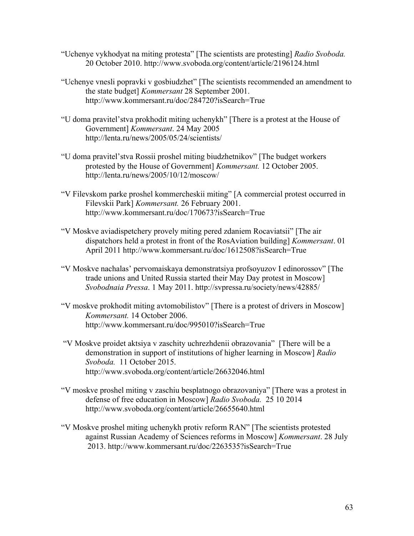- "Uchenye vykhodyat na miting protesta" [The scientists are protesting] *Radio Svoboda.*  20 October 2010. http://www.svoboda.org/content/article/2196124.html
- "Uchenye vnesli popravki v gosbiudzhet" [The scientists recommended an amendment to the state budget] *Kommersant* 28 September 2001. http://www.kommersant.ru/doc/284720?isSearch=True
- "U doma pravitel'stva prokhodit miting uchenykh" [There is a protest at the House of Government] *Kommersant*. 24 May 2005 http://lenta.ru/news/2005/05/24/scientists/
- "U doma pravitel'stva Rossii proshel miting biudzhetnikov" [The budget workers protested by the House of Government] *Kommersant.* 12 October 2005. http://lenta.ru/news/2005/10/12/moscow/
- "V Filevskom parke proshel kommercheskii miting" [A commercial protest occurred in Filevskii Park] *Kommersant.* 26 February 2001. http://www.kommersant.ru/doc/170673?isSearch=True
- "V Moskve aviadispetchery provely miting pered zdaniem Rocaviatsii" [The air dispatchors held a protest in front of the RosAviation building] *Kommersant*. 01 April 2011 http://www.kommersant.ru/doc/1612508?isSearch=True
- "V Moskve nachalas' pervomaiskaya demonstratsiya profsoyuzov I edinorossov" [The trade unions and United Russia started their May Day protest in Moscow] *Svobodnaia Pressa*. 1 May 2011. http://svpressa.ru/society/news/42885/
- "V moskve prokhodit miting avtomobilistov" [There is a protest of drivers in Moscow] *Kommersant.* 14 October 2006. http://www.kommersant.ru/doc/995010?isSearch=True
- "V Moskve proidet aktsiya v zaschity uchrezhdenii obrazovania" [There will be a demonstration in support of institutions of higher learning in Moscow] *Radio Svoboda.* 11 October 2015. http://www.svoboda.org/content/article/26632046.html
- "V moskve proshel miting v zaschiu besplatnogo obrazovaniya" [There was a protest in defense of free education in Moscow] *Radio Svoboda.* 25 10 2014 http://www.svoboda.org/content/article/26655640.html
- "V Moskve proshel miting uchenykh protiv reform RAN" [The scientists protested against Russian Academy of Sciences reforms in Moscow] *Kommersant*. 28 July 2013. http://www.kommersant.ru/doc/2263535?isSearch=True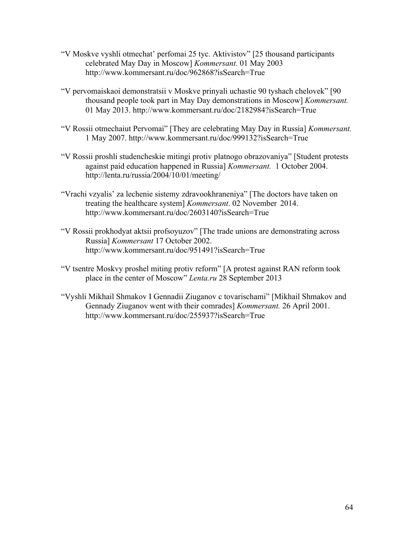- "V Moskve vyshli otmechat' perfomai 25 tyc. Aktivistov" [25 thousand participants celebrated May Day in Moscow] *Kommersant*. 01 May 2003 http://www.kommersant.ru/doc/962868?isSearch=True
- "V pervomaiskaoi demonstratsii v Moskve prinyali uchastie 90 tyshach chelovek" [90 thousand people took part in May Day demonstrations in Moscow] *Kommersant.* 01 May 2013. http://www.kommersant.ru/doc/2182984?isSearch=True
- "V Rossii otmechaiut Pervomai" [They are celebrating May Day in Russia] *Kommersant.*  1 May 2007. http://www.kommersant.ru/doc/999132?isSearch=True
- "V Rossii proshli studencheskie mitingi protiv platnogo obrazovaniya" [Student protests against paid education happened in Russia] *Kommersant.* 1 October 2004. http://lenta.ru/russia/2004/10/01/meeting/
- "Vrachi vzyalis' za lechenie sistemy zdravookhraneniya" [The doctors have taken on treating the healthcare system] *Kommersant*. 02 November 2014. http://www.kommersant.ru/doc/2603140?isSearch=True
- "V Rossii prokhodyat aktsii profsoyuzov" [The trade unions are demonstrating across Russia] *Kommersant* 17 October 2002. http://www.kommersant.ru/doc/951491?isSearch=True
- "V tsentre Moskvy proshel miting protiv reform" [A protest against RAN reform took place in the center of Moscow" *Lenta.ru* 28 September 2013
- "Vyshli Mikhail Shmakov I Gennadii Ziuganov c tovarischami" [Mikhail Shmakov and Gennady Ziuganov went with their comrades] *Kommersant.* 26 April 2001. http://www.kommersant.ru/doc/255937?isSearch=True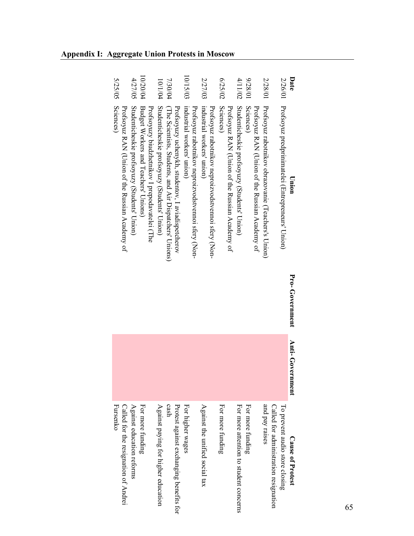| 5/25/05                                                     | 4/27/05                                      | 10/20/04                                                                               | 10/1/04                                      | 7/30/04                                                 |                                                    | 10/15/03                                                                          | 2/27/03                        |                                                     | 6/25/02          |                                                | 4/11/02                                      | 10/82/6          |                                                | 10/82/7                                             |                                       | 2/26/01                                           | Date                    |
|-------------------------------------------------------------|----------------------------------------------|----------------------------------------------------------------------------------------|----------------------------------------------|---------------------------------------------------------|----------------------------------------------------|-----------------------------------------------------------------------------------|--------------------------------|-----------------------------------------------------|------------------|------------------------------------------------|----------------------------------------------|------------------|------------------------------------------------|-----------------------------------------------------|---------------------------------------|---------------------------------------------------|-------------------------|
| Sciences)<br>Profsoyuz RAN (Union of the Russian Academy of | Studenticheskie profsoyuzy (Students' Union) | Budget Workers and Teachers' Unions)<br>Profsoyuzy biudzhetnikov I prepodavatelei (The | Studenticheskie profsoyuzy (Students' Union) | (The Scientists, Students, and Air Dispatchers' Unions) | Profsoyuzy uchenykh, studentov, I aviadispetcherov | industrial workers' union)<br>Profsoyuz rabotnikov neproizvodstvennoi sfery (Non- | industrial workers' union)     | Profsoyuz rabotnikov neproizvodstvennoi sfery (Non- | Sciences)        | Profsoyuz RAN (Union of the Russian Academy of | Studenticheskie profsoyuzy (Students' Union) | Sciences)        | Profsoyuz RAN (Union of the Russian Academy of | Profsoyuz rabotnikov obrazovanie (Teachers's Union) |                                       | Profsoyuz predprinimatelei (Entrepreneurs' Union) | Union                   |
|                                                             |                                              |                                                                                        |                                              |                                                         |                                                    |                                                                                   |                                |                                                     |                  |                                                |                                              |                  |                                                |                                                     |                                       |                                                   | Pro-Government          |
|                                                             |                                              |                                                                                        |                                              |                                                         |                                                    |                                                                                   |                                |                                                     |                  |                                                |                                              |                  |                                                |                                                     |                                       |                                                   | Anti-Gove<br>rnment     |
| Called for the resignation of Andrei<br>Fursenko            | Against education reforms                    | For more funding                                                                       | Against paying for higher education          | cash                                                    | Protest against exchanging benefits for            | For higher wages                                                                  | Against the unified social tax |                                                     | For more funding |                                                | For more attention to student concerns       | For more funding |                                                | and pay raises                                      | Called for administration resignation | To prevent audio store closing                    | <b>Cause of Protest</b> |

# **Appendix I: Aggregate Union Protests in Moscow**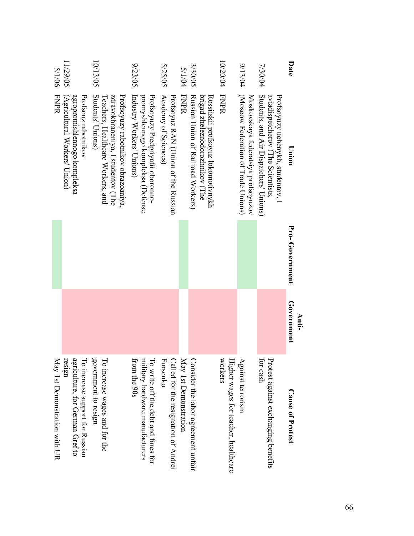| Date           | Union                                                                                                                             | Pro-Government | Government<br>Anti- | <b>Cause of Protest</b>                                                                |
|----------------|-----------------------------------------------------------------------------------------------------------------------------------|----------------|---------------------|----------------------------------------------------------------------------------------|
| 7/30/04        | Students, and Air Dispatchers' Unions)<br>aviadispetcherov (The Scientists,<br>Profsoyuzy uchenykh, studentov, I                  |                |                     | for cash<br>Protest against exchanging benefits                                        |
| 9/13/04        | (Moscow Federation of Trade Unions)<br>Moskovskaya federatsiya profsoyuzov                                                        |                |                     | Against terrorism                                                                      |
| 10/20/04       | <b>FNPR</b>                                                                                                                       |                |                     | workers<br>Higher wages for teacher, healthcare                                        |
| 3/30/05        | Rossiiskii profsoyuz lokomotivnykh<br>Russian Union of Railroad Workers)<br>brigad zheleznodorozhnikov (The                       |                |                     | Consider the labor agreement unfair                                                    |
| 5/1/04         | FNPR                                                                                                                              |                |                     | May 1st Demonstration                                                                  |
| <b>S/25/05</b> | Academy of Sciences)<br>Profsoyuz RAN (Union of the Russian                                                                       |                |                     | Fursenko<br>Called for the resignation of Andrei                                       |
| 9/23/05        | promyshlennogo kompleksa (Detense<br>Profsoyuzy Predpriyatii oboronno-<br>Industry Workers' Unions)                               |                |                     | To write off the debt and fines for<br>military hardware manufacturers<br>from the 90s |
| 10/13/05       | Students' Unions)<br>Profsoyuzy rabotnikov obrazoaniya,<br>zdravokhraneniya, I studentov (The<br>eachers, Healthcare Workers, and |                |                     | government to resign<br>$\Gamma$ o<br>increase wages and for the                       |
| 11/29/05       | Profsouz rabotnikov<br>(Agricultural Workers' Union)<br>agropromishlennogo kompleksa                                              |                |                     | resign<br>agriculture, for German Gref to<br>To increase support for Russian           |
| 5/1/06         | <b>FNPR</b>                                                                                                                       |                |                     | May 1st Demonstration with UR                                                          |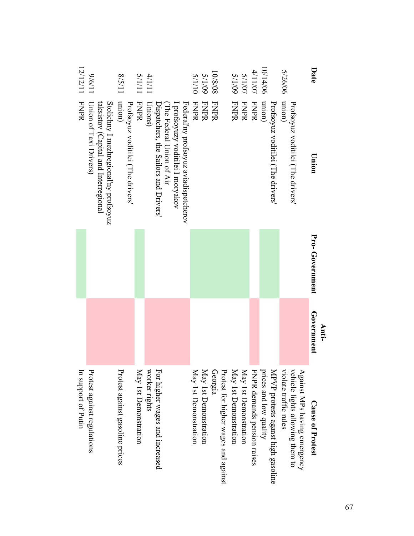| Date     | Union                                                                         | Pro-Government | Government<br>Anti- | <b>Cause of Protest</b>                                         |
|----------|-------------------------------------------------------------------------------|----------------|---------------------|-----------------------------------------------------------------|
|          | Profsoyuz voditilei (The drivers'                                             |                |                     | vehicle lights allowing them to<br>Against MPs having emergency |
| 5/26/06  | (uorun                                                                        |                |                     | violate traffic rules                                           |
|          | Profsoyuz voditilei (The drivers'                                             |                |                     | MPVP protests aganst high gasoline                              |
| 10/14/06 | (uoiun                                                                        |                |                     | prices and low quality                                          |
| 4/11/07  | <b>FNPR</b>                                                                   |                |                     | FNPR demands pension raises                                     |
| 5/1/07   | <b>FNPR</b>                                                                   |                |                     | May 1st Demonstration                                           |
| 60/1/5   | <b>FNPR</b>                                                                   |                |                     | May 1st Demonstration                                           |
|          |                                                                               |                |                     | Protest for higher wages and against                            |
| 10/8/08  | <b>FNPR</b>                                                                   |                |                     | Georgia                                                         |
| 60/1/5   | <b>FNPR</b>                                                                   |                |                     | May 1st Demonstration                                           |
| 01/1/5   | FNPR                                                                          |                |                     | May 1st Demonstration                                           |
|          | Federal'ny profsoyuz aviadispetcherov                                         |                |                     |                                                                 |
|          | I profsoyuzy voditilei I moryakov                                             |                |                     |                                                                 |
|          | The Federal Union of Air                                                      |                |                     |                                                                 |
|          | Dispatchers, the Sailors and Drivers'                                         |                |                     | For higher wages and increased                                  |
| 11/17    | Unions)                                                                       |                |                     | worker nghts                                                    |
| 5/1/11   | FNPR                                                                          |                |                     | May 1st Demonstration                                           |
|          | Profsoyuz voditilei (The drivers'                                             |                |                     |                                                                 |
| 11/5/8   | (uojun                                                                        |                |                     | Protest against gasoline prices                                 |
|          | Stolichny I mezhregional'ny profsoyuz<br>taksistov (Capital and Interregional |                |                     |                                                                 |
| 11/9/6   | Union of Taxi Drivers)                                                        |                |                     | Protest against regulations                                     |
| 12/12/11 | <b>FNPR</b>                                                                   |                |                     | In support of Putin                                             |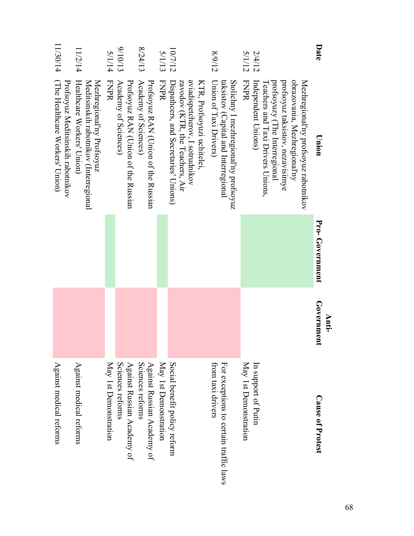| Date             | Union                                                                                                                                                                                                                | Pro-Government | Government<br>Anti- | <b>Cause of Protest</b>                                     |
|------------------|----------------------------------------------------------------------------------------------------------------------------------------------------------------------------------------------------------------------|----------------|---------------------|-------------------------------------------------------------|
| 5/1/12<br>2/4/12 | profsoyuz taksistov, nezavisimye<br><b>FNPR</b><br>obrazovania, Mezhregional'ny<br>protsoyuzy (The Interregional<br>Mezhregional'ny profsoyuz rabotnikov<br>Teachers and Taxi Drivers Unions,<br>Independent Unions) |                |                     | May 1st Demonstration<br>In support of Putin                |
| 8/9/12           | Stolichny I mezhregional'ny profsoyuz<br>Union of Taxi Drivers)<br>taksistov (Capital and Interregional                                                                                                              |                |                     | For exceptions to certain traffic laws<br>from taxı drivers |
| 10/7/12          | aviadispetcherov, I sotrudnikov<br>zavodov (KTR, the Teachers, Air<br>Dispathcers, and Secretaries' Unions)<br>KTR, Profsoyuzi uchitelei,                                                                            |                |                     | Social benefit policy reform                                |
| <b>S/1/13</b>    | FNPR                                                                                                                                                                                                                 |                |                     | May 1st Demonstration                                       |
| 8/24/13          | Academy of Sciences)<br>Profsoyuz RAN (Union of the Russian                                                                                                                                                          |                |                     | Sciences reforms<br>Against Russian Academy of              |
| 8/10/13          | Profesovid NAN (Union of the Russian<br>Academy of Sciences)                                                                                                                                                         |                |                     | Against Russian Academy of<br>Sciences reforms              |
| 5/1/14           | FNPR                                                                                                                                                                                                                 |                |                     | May 1st Demonstration                                       |
| 11/2/14          | Healthcare Workers' Union)<br>Mezhregional'ny Profsoyuz<br>Meditsinskih rabotnikov (Interregional                                                                                                                    |                |                     | Against medical reforms                                     |
| 11/30/14         | (The Healthcare Workers' Union)<br>Profsoyuz Meditsinskih rabotnikov                                                                                                                                                 |                |                     | Against medical reforms                                     |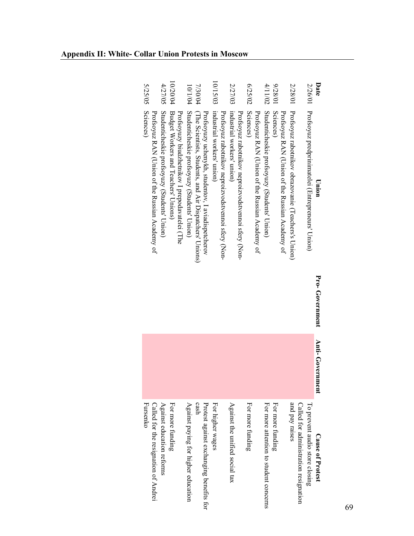| <b>5/25/05</b>                                              | 10/20/04<br>4/27/05                                                                                                                    | 7/30/04<br>10/1/04                                                                                                                                            | 10/15/03                                                                          | 2/27/03                                                                           | 0/25/02                                                     | 4/11/02<br>0/82/6                                          | 2/28/01                                                                                               |                                                                         | Date                    |
|-------------------------------------------------------------|----------------------------------------------------------------------------------------------------------------------------------------|---------------------------------------------------------------------------------------------------------------------------------------------------------------|-----------------------------------------------------------------------------------|-----------------------------------------------------------------------------------|-------------------------------------------------------------|------------------------------------------------------------|-------------------------------------------------------------------------------------------------------|-------------------------------------------------------------------------|-------------------------|
| Sciences)<br>Profsoyuz RAN (Union of the Russian Academy of | Studenticheskie profsoyuzy (Students' Union)<br>Budget Workers and Teachers' Unions)<br>Profsoyuzy biudzhetnikov I prepodavatelei (The | Studenticheskie profsoyuzy (Students' Union)<br>(The Scientists, Students, and Air Dispatchers' Unions)<br>Profsoyuzy uchenykh, studentov, I aviadispetcherov | industrial workers' union)<br>Profsoyuz rabotnikov neproizvodstvennoi sfery (Non- | industrial workers' union)<br>Profsoyuz rabotnikov neproizvodstvennoi sfery (Non- | Sciences)<br>Profsoyuz RAN (Union of the Russian Academy of | Studenticheskie profsoyuzy (Students' Union)<br>Sciences)  | Profsoyuz rabotnikov obrazovanie (Teachers's Union)<br>Profsoyuz RAN (Union of the Russian Academy of | 2/26/01 Profsoyuz predprinimatelei (Entrepreneurs' Union)               | Union                   |
|                                                             |                                                                                                                                        |                                                                                                                                                               |                                                                                   |                                                                                   |                                                             |                                                            |                                                                                                       |                                                                         | Pro-Government          |
|                                                             |                                                                                                                                        |                                                                                                                                                               |                                                                                   |                                                                                   |                                                             |                                                            |                                                                                                       |                                                                         | Anti- Govern<br>ment    |
| Fursenko<br>Called for the resignation of Andrei            | Against education reforms<br>For more funding                                                                                          | Protest against exchanging benefits for<br>Against paying for higher education<br>cash                                                                        | For higher wages                                                                  | Against the unified social tax                                                    | For more funding                                            | For more attention to student concerns<br>For more funding | and pay raises                                                                                        | To prevent audio store closing<br>Called for administration resignation | <b>Cause of Protest</b> |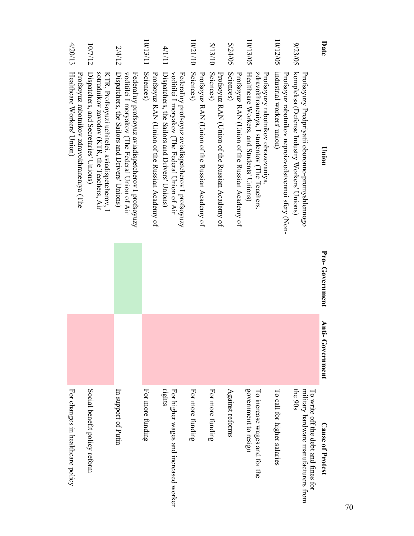| Date     | Union                                                                                                                                                 | Pro-Government | <b>Anti-Government</b> | <b>Cause of Protest</b>                                                                   |
|----------|-------------------------------------------------------------------------------------------------------------------------------------------------------|----------------|------------------------|-------------------------------------------------------------------------------------------|
| 9/23/05  | kompleksa (Defense Industry Workers' Unions)<br>Profsoyuzy Predpriyatii oboronno-promyshlennogo                                                       |                |                        | the $90s$<br>military hardware manufacturers from<br>To strite off the dept and times for |
| 10/12/05 | industrial workers' union)<br>Profsoyuz rabotnikov neproizvodstvemoi sfery (Non-                                                                      |                |                        | To call for higher salaries                                                               |
| 10/13/05 | Healthcare Workers, and Students' Unions)<br>Profsoyuzy rabotnikov obrazovaniya<br>zdravokhraneniya, I studentov (The Teachers,                       |                |                        | government to resign<br>To increase wages and for the                                     |
| 5/24/05  | Sciences)<br>Profsoyuz RAN (Union of the Russian Academy of                                                                                           |                |                        | Against reforms                                                                           |
| 5/13/10  | Sciences)<br>Profsoyuz RAN (Union of the Russian Academy of                                                                                           |                |                        | For more funding                                                                          |
| 10/21/10 | Sciences)<br>Profsoyuz RAN (Union of the Russian Academy of                                                                                           |                |                        | For more funding                                                                          |
| 4/1/11   | Dispatchers, the Sailors and Drivers' Unions)<br>voditilei I moryakov (The Federal Union of Air<br>Federal'ny profsoyuz aviadispetcherov I profsoyuzy |                |                        | nghts<br>For higher wages and increased worker                                            |
| 10/13/11 | Sciences)<br>Profsoyuz RAN (Union of the Russian Academy of                                                                                           |                |                        | For more funding                                                                          |
| 2/4/12   | voditilei I moryakov (The Federal Union of Air<br>Federal'ny profsoyuz aviadispetcherov I profsoyuzy<br>Dispatchers, the Sailors and Drivers' Unions) |                |                        | In support of Putin                                                                       |
| 10/7/12  | sotrudnikov zavodov (KTR, the Teachers, Air<br>Dispatchers, and Secretaries' Unions)<br>KTR, Profsoyuzi uchitelei, aviadispetcherov, I                |                |                        | Social benefit policy reform                                                              |
| 4/20/13  | Healthcare Workers' Union)<br>Profsoyuz rabotnikov zdravokhraneniya (The                                                                              |                |                        | For changes in healthcare policy                                                          |